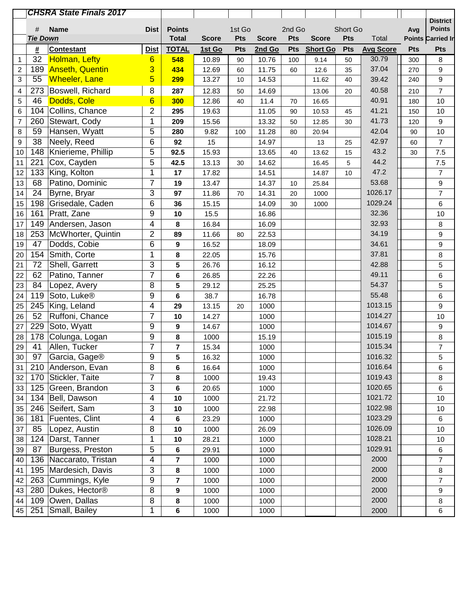|                  |                      | <b>CHSRA State Finals 2017</b> |                 |                               |              |               |              |               |                 |                 |                           |            |                          |
|------------------|----------------------|--------------------------------|-----------------|-------------------------------|--------------|---------------|--------------|---------------|-----------------|-----------------|---------------------------|------------|--------------------------|
|                  |                      |                                |                 |                               |              |               |              |               |                 |                 |                           |            | <b>District</b>          |
|                  | #<br><b>Tie Down</b> | <b>Name</b>                    | <b>Dist</b>     | <b>Points</b><br><b>Total</b> |              | 1st Go<br>Pts | <b>Score</b> | 2nd Go<br>Pts | <b>Score</b>    | Short Go<br>Pts |                           | Avg        | <b>Points</b>            |
|                  |                      |                                |                 |                               | <b>Score</b> |               |              |               |                 |                 | Total                     |            | <b>Points Carried In</b> |
|                  | #                    | <b>Contestant</b>              | <b>Dist</b>     | <b>TOTAL</b>                  | 1st Go       | Pts           | 2nd Go       | Pts           | <b>Short Go</b> | Pts             | <b>Avg Score</b><br>30.79 | <b>Pts</b> | <b>Pts</b>               |
| 1                | 32                   | <b>Holman, Lefty</b>           | $6\overline{6}$ | 548                           | 10.89        | 90            | 10.76        | 100           | 9.14            | 50              | 37.04                     | 300        | 8                        |
| $\overline{c}$   | 189<br>55            | <b>Anseth, Quentin</b>         | 3<br>5          | 434                           | 12.69        | 60            | 11.75        | 60            | 12.6            | 35              |                           | 270        | 9                        |
| 3                |                      | <b>Wheeler, Lane</b>           |                 | 299                           | 13.27        | 10            | 14.53        |               | 11.62           | 40              | 39.42                     | 240        | $\boldsymbol{9}$         |
| 4                | 273                  | Boswell, Richard               | 8               | 287                           | 12.83        | 50            | 14.69        |               | 13.06           | 20              | 40.58                     | 210        | $\overline{7}$           |
| 5                | 46                   | Dodds, Cole                    | $6\phantom{1}6$ | 300                           | 12.86        | 40            | 11.4         | 70            | 16.65           |                 | 40.91                     | 180        | $10$                     |
| 6                | 104                  | Collins, Chance                | $\overline{2}$  | 295                           | 19.63        |               | 11.05        | 90            | 10.53           | 45              | 41.21                     | 150        | 10                       |
| $\overline{7}$   | 260                  | Stewart, Cody                  | $\mathbf 1$     | 209                           | 15.56        |               | 13.32        | 50            | 12.85           | 30              | 41.73                     | 120        | 9                        |
| 8                | 59                   | Hansen, Wyatt                  | 5               | 280                           | 9.82         | 100           | 11.28        | 80            | 20.94           |                 | 42.04                     | 90         | $10$                     |
| $\boldsymbol{9}$ | 38                   | Neely, Reed                    | 6               | 92                            | 15           |               | 14.97        |               | 13              | 25              | 42.97                     | 60         | $\overline{7}$           |
| 10               | 148                  | Knierieme, Phillip             | 5               | 92.5                          | 15.93        |               | 13.65        | 40            | 13.62           | 15              | 43.2                      | 30         | 7.5                      |
| 11               | 221                  | Cox, Cayden                    | 5               | 42.5                          | 13.13        | 30            | 14.62        |               | 16.45           | 5               | 44.2                      |            | 7.5                      |
| 12               | 133                  | King, Kolton                   | 1               | 17                            | 17.82        |               | 14.51        |               | 14.87           | 10              | 47.2                      |            | $\overline{7}$           |
| 13               | 68                   | Patino, Dominic                | 7               | 19                            | 13.47        |               | 14.37        | 10            | 25.84           |                 | 53.68                     |            | $\boldsymbol{9}$         |
| 14               | 24                   | Byrne, Bryar                   | 3               | 97                            | 11.86        | 70            | 14.31        | 20            | 1000            |                 | 1026.17                   |            | $\overline{7}$           |
| 15               | 198                  | Grisedale, Caden               | 6               | 36                            | 15.15        |               | 14.09        | 30            | 1000            |                 | 1029.24                   |            | 6                        |
| 16               | 161                  | Pratt, Zane                    | 9               | 10                            | 15.5         |               | 16.86        |               |                 |                 | 32.36                     |            | $10$                     |
| 17               | 149                  | Andersen, Jason                | 4               | 8                             | 16.84        |               | 16.09        |               |                 |                 | 32.93                     |            | $\bf 8$                  |
| 18               | 253                  | McWhorter, Quintin             | $\overline{2}$  | 89                            | 11.66        | 80            | 22.53        |               |                 |                 | 34.19                     |            | $\boldsymbol{9}$         |
| 19               | 47                   | Dodds, Cobie                   | 6               | $\boldsymbol{9}$              | 16.52        |               | 18.09        |               |                 |                 | 34.61                     |            | $\boldsymbol{9}$         |
| 20               | 154                  | Smith, Corte                   | 1               | 8                             | 22.05        |               | 15.76        |               |                 |                 | 37.81                     |            | $\bf 8$                  |
| 21               | 72                   | Shell, Garrett                 | 3               | 5                             | 26.76        |               | 16.12        |               |                 |                 | 42.88                     |            | $\overline{5}$           |
| 22               | 62                   | Patino, Tanner                 | $\overline{7}$  | $\bf 6$                       | 26.85        |               | 22.26        |               |                 |                 | 49.11                     |            | 6                        |
| 23               | 84                   | Lopez, Avery                   | 8               | 5                             | 29.12        |               | 25.25        |               |                 |                 | 54.37                     |            | 5                        |
| 24               | 119                  | Soto, Luke <sup>®</sup>        | 9               | 6                             | 38.7         |               | 16.78        |               |                 |                 | 55.48                     |            | 6                        |
| 25               | 245                  | King, Leland                   | 4               | 29                            | 13.15        | 20            | 1000         |               |                 |                 | 1013.15                   |            | 9                        |
| 26               | 52                   | Ruffoni, Chance                | $\overline{7}$  | 10                            | 14.27        |               | 1000         |               |                 |                 | 1014.27                   |            | $10$                     |
| 27               | 229                  | Soto, Wyatt                    | 9               | 9                             | 14.67        |               | 1000         |               |                 |                 | 1014.67                   |            | $\boldsymbol{9}$         |
| 28               |                      | 178 Colunga, Logan             | 9               | 8                             | 1000         |               | 15.19        |               |                 |                 | 1015.19                   |            | $\bf 8$                  |
| 29               | 41                   | Allen, Tucker                  | $\overline{7}$  | 7                             | 15.34        |               | 1000         |               |                 |                 | 1015.34                   |            | $\boldsymbol{7}$         |
| 30               | 97                   | Garcia, Gage®                  | 9               | 5                             | 16.32        |               | 1000         |               |                 |                 | 1016.32                   |            | 5                        |
| 31               |                      | 210 Anderson, Evan             | 8               | 6                             | 16.64        |               | 1000         |               |                 |                 | 1016.64                   |            | 6                        |
| 32               |                      | 170 Stickler, Taite            | $\overline{7}$  | 8                             | 1000         |               | 19.43        |               |                 |                 | 1019.43                   |            | $\bf 8$                  |
| 33               | 125                  | Green, Brandon                 | 3               | 6                             | 20.65        |               | 1000         |               |                 |                 | 1020.65                   |            | 6                        |
| 34               |                      | 134 Bell, Dawson               | 4               | 10                            | 1000         |               | 21.72        |               |                 |                 | 1021.72                   |            | $10$                     |
| 35               |                      | 246 Seifert, Sam               | 3               | 10                            | 1000         |               | 22.98        |               |                 |                 | 1022.98                   |            | 10                       |
| 36               | 181                  | Fuentes, Clint                 | 4               | $\bf 6$                       | 23.29        |               | 1000         |               |                 |                 | 1023.29                   |            | 6                        |
| 37               | 85                   | Lopez, Austin                  | 8               | 10                            | 1000         |               | 26.09        |               |                 |                 | 1026.09                   |            | $10$                     |
| 38               | 124                  | Darst, Tanner                  | 1               | 10                            | 28.21        |               | 1000         |               |                 |                 | 1028.21                   |            | 10                       |
| 39               | 87                   | Burgess, Preston               | 5               | 6                             | 29.91        |               | 1000         |               |                 |                 | 1029.91                   |            | 6                        |
| 40               |                      | 136   Naccarato, Tristan       | 4               | 7                             | 1000         |               | 1000         |               |                 |                 | 2000                      |            | $\overline{7}$           |
| 41               | 195                  | Mardesich, Davis               | $\overline{3}$  | 8                             | 1000         |               | 1000         |               |                 |                 | 2000                      |            | $\bf 8$                  |
| 42               |                      | 263 Cummings, Kyle             | 9               | 7                             | 1000         |               | 1000         |               |                 |                 | 2000                      |            | $\overline{7}$           |
| 43               | 280                  | Dukes, Hector <sup>®</sup>     | 8               | 9                             | 1000         |               | 1000         |               |                 |                 | 2000                      |            | 9                        |
| 44               |                      | 109 Owen, Dallas               | 8               | 8                             | 1000         |               | 1000         |               |                 |                 | 2000                      |            | $\bf 8$                  |
| 45               | 251                  | Small, Bailey                  | 1               | 6                             | 1000         |               | 1000         |               |                 |                 | 2000                      |            | 6                        |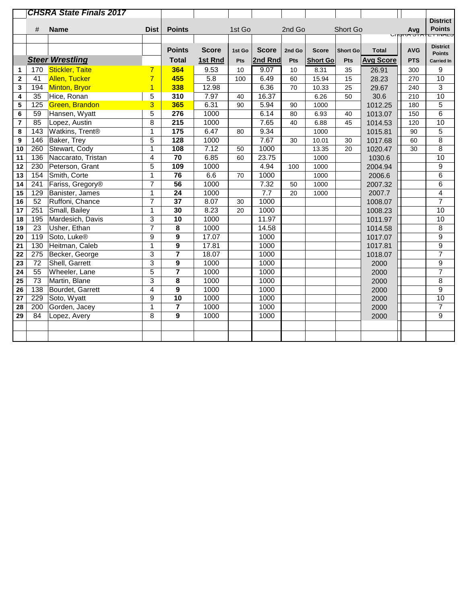|             |                 | <b>CHSRA State Finals 2017</b> |                |                         |              |        |              |        |                 |                 |                  |                    |                  |
|-------------|-----------------|--------------------------------|----------------|-------------------------|--------------|--------|--------------|--------|-----------------|-----------------|------------------|--------------------|------------------|
|             |                 |                                |                |                         |              |        |              |        |                 |                 |                  |                    | <b>District</b>  |
|             | #               | <b>Name</b>                    | <b>Dist</b>    | <b>Points</b>           |              | 1st Go |              | 2nd Go |                 | Short Go        |                  | Avg<br>נמדט מחקונט | <b>Points</b>    |
|             |                 |                                |                |                         |              |        |              |        |                 |                 |                  |                    | <b>E FIIVALO</b> |
|             |                 |                                |                | <b>Points</b>           | <b>Score</b> | 1st Go | <b>Score</b> | 2nd Go | <b>Score</b>    | <b>Short Go</b> | <b>Total</b>     | <b>AVG</b>         | <b>District</b>  |
|             |                 |                                |                |                         |              |        |              |        |                 |                 |                  |                    | <b>Points</b>    |
|             |                 | <b>Steer Wrestling</b>         |                | <b>Total</b>            | 1st Rnd      | Pts    | 2nd Rnd      | Pts    | <b>Short Go</b> | Pts             | <b>Avg Score</b> | <b>PTS</b>         | Carried In       |
| 1           | 170             | <b>Stickler, Taite</b>         | $\overline{7}$ | 364                     | 9.53         | 10     | 9.07         | 10     | 8.31            | 35              | 26.91            | 300                | 9                |
| $\mathbf 2$ | 41              | <b>Allen, Tucker</b>           | $\overline{7}$ | 455                     | 5.8          | 100    | 6.49         | 60     | 15.94           | 15              | 28.23            | 270                | 10               |
| 3           | 194             | Minton, Bryor                  | $\overline{1}$ | 338                     | 12.98        |        | 6.36         | 70     | 10.33           | 25              | 29.67            | 240                | 3                |
| 4           | 35              | Hice, Ronan                    | 5              | 310                     | 7.97         | 40     | 16.37        |        | 6.26            | 50              | 30.6             | 210                | 10               |
| 5           | 125             | Green, Brandon                 | 3              | 365                     | 6.31         | 90     | 5.94         | 90     | 1000            |                 | 1012.25          | 180                | $\overline{5}$   |
| 6           | 59              | Hansen, Wyatt                  | 5              | 276                     | 1000         |        | 6.14         | 80     | 6.93            | 40              | 1013.07          | 150                | $\overline{6}$   |
| 7           | 85              | Lopez, Austin                  | $\overline{8}$ | $\overline{215}$        | 1000         |        | 7.65         | 40     | 6.88            | 45              | 1014.53          | 120                | 10               |
| 8           | 143             | Watkins, Trent <sup>®</sup>    | $\mathbf{1}$   | $\frac{1}{175}$         | 6.47         | 80     | 9.34         |        | 1000            |                 | 1015.81          | 90                 | $\overline{5}$   |
| 9           | 146             | <b>Baker, Trey</b>             | 5              | 128                     | 1000         |        | 7.67         | 30     | 10.01           | 30              | 1017.68          | 60                 | $\overline{8}$   |
| 10          | 260             | Stewart, Cody                  | 1              | 108                     | 7.12         | 50     | 1000         |        | 13.35           | 20              | 1020.47          | 30                 | $\overline{8}$   |
| 11          | 136             | Naccarato, Tristan             | 4              | $\overline{70}$         | 6.85         | 60     | 23.75        |        | 1000            |                 | 1030.6           |                    | 10               |
| 12          | 230             | Peterson, Grant                | 5              | 109                     | 1000         |        | 4.94         | 100    | 1000            |                 | 2004.94          |                    | $\boldsymbol{9}$ |
| 13          | 154             | Smith, Corte                   | 1              | 76                      | 6.6          | 70     | 1000         |        | 1000            |                 | 2006.6           |                    | $6\phantom{1}6$  |
| 14          | 241             | Fariss, Gregory <sup>®</sup>   | $\overline{7}$ | $\overline{56}$         | 1000         |        | 7.32         | 50     | 1000            |                 | 2007.32          |                    | 6                |
| 15          | 129             | Banister, James                | $\mathbf{1}$   | $\overline{24}$         | 1000         |        | 7.7          | 20     | 1000            |                 | 2007.7           |                    | 4                |
| 16          | 52              | Ruffoni, Chance                | $\overline{7}$ | 37                      | 8.07         | 30     | 1000         |        |                 |                 | 1008.07          |                    | $\overline{7}$   |
| 17          | 251             | Small, Bailey                  | $\mathbf 1$    | $\overline{30}$         | 8.23         | 20     | 1000         |        |                 |                 | 1008.23          |                    | 10               |
| 18          | 195             | Mardesich, Davis               | 3              | $\overline{10}$         | 1000         |        | 11.97        |        |                 |                 | 1011.97          |                    | 10               |
| 19          | $\overline{23}$ | Usher, Ethan                   | $\overline{7}$ | 8                       | 1000         |        | 14.58        |        |                 |                 | 1014.58          |                    | 8                |
| 20          | 119             | Soto, Luke <sup>®</sup>        | 9              | 9                       | 17.07        |        | 1000         |        |                 |                 | 1017.07          |                    | $\overline{9}$   |
| 21          | 130             | Heitman, Caleb                 | 1              | 9                       | 17.81        |        | 1000         |        |                 |                 | 1017.81          |                    | $\overline{9}$   |
| 22          | 275             | Becker, George                 | 3              | $\overline{7}$          | 18.07        |        | 1000         |        |                 |                 | 1018.07          |                    | $\overline{7}$   |
| 23          | 72              | Shell, Garrett                 | 3              | 9                       | 1000         |        | 1000         |        |                 |                 | 2000             |                    | 9                |
| 24          | 55              | Wheeler, Lane                  | $\overline{5}$ | $\overline{7}$          | 1000         |        | 1000         |        |                 |                 | 2000             |                    | $\overline{7}$   |
| 25          | $\overline{73}$ | Martin, Blane                  | 3              | 8                       | 1000         |        | 1000         |        |                 |                 | 2000             |                    | $\overline{8}$   |
| 26          | 138             | Bourdet, Garrett               | $\overline{4}$ | 9                       | 1000         |        | 1000         |        |                 |                 | 2000             |                    | $\overline{9}$   |
| 27          | 229             | Soto, Wyatt                    | 9              | 10                      | 1000         |        | 1000         |        |                 |                 | 2000             |                    | $\overline{10}$  |
| 28          | 200             | Gorden, Jacey                  | 1              | $\overline{\mathbf{7}}$ | 1000         |        | 1000         |        |                 |                 | 2000             |                    | $\overline{7}$   |
| 29          | 84              | Lopez, Avery                   | 8              | 9                       | 1000         |        | 1000         |        |                 |                 | 2000             |                    | 9                |
|             |                 |                                |                |                         |              |        |              |        |                 |                 |                  |                    |                  |
|             |                 |                                |                |                         |              |        |              |        |                 |                 |                  |                    |                  |
|             |                 |                                |                |                         |              |        |              |        |                 |                 |                  |                    |                  |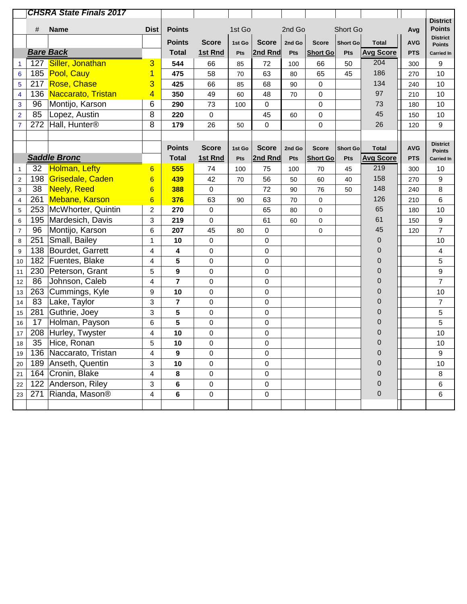|                          |     | <b>CHSRA State Finals 2017</b> |                 |                |                  |        |              |        |                 |                 |                  |            |                                  |
|--------------------------|-----|--------------------------------|-----------------|----------------|------------------|--------|--------------|--------|-----------------|-----------------|------------------|------------|----------------------------------|
|                          | #   | <b>Name</b>                    | <b>Dist</b>     | <b>Points</b>  |                  | 1st Go |              | 2nd Go |                 | Short Go        |                  |            | <b>District</b><br><b>Points</b> |
|                          |     |                                |                 |                |                  |        |              |        |                 |                 |                  | Avg        | <b>District</b>                  |
|                          |     |                                |                 | <b>Points</b>  | <b>Score</b>     | 1st Go | <b>Score</b> | 2nd Go | <b>Score</b>    | <b>Short Go</b> | <b>Total</b>     | <b>AVG</b> | <b>Points</b>                    |
|                          |     | <b>Bare Back</b>               |                 | <b>Total</b>   | 1st Rnd          | Pts    | 2nd Rnd      | Pts    | <b>Short Go</b> | Pts             | <b>Avg Score</b> | <b>PTS</b> | <b>Carried In</b>                |
| 1                        |     | 127 Siller, Jonathan           | 3               | 544            | 66               | 85     | 72           | 100    | 66              | 50              | 204              | 300        | 9                                |
| $6\phantom{1}6$          |     | 185 Pool, Cauy                 | 1               | 475            | 58               | 70     | 63           | 80     | 65              | 45              | 186              | 270        | 10                               |
| 5                        |     | 217 Rose, Chase                | 3               | 425            | 66               | 85     | 68           | 90     | 0               |                 | 134              | 240        | 10                               |
| $\overline{\mathbf{4}}$  | 136 | <b>Naccarato, Tristan</b>      | 4               | 350            | 49               | 60     | 48           | 70     | $\mathsf 0$     |                 | 97               | 210        | 10                               |
| $\mathbf 3$              | 96  | Montijo, Karson                | 6               | 290            | 73               | 100    | 0            |        | 0               |                 | 73               | 180        | 10                               |
| $\overline{2}$           | 85  | Lopez, Austin                  | 8               | 220            | $\mathbf 0$      |        | 45           | 60     | 0               |                 | 45               | 150        | 10                               |
| $\overline{7}$           | 272 | Hall, Hunter <sup>®</sup>      | 8               | 179            | 26               | 50     | 0            |        | 0               |                 | 26               | 120        | 9                                |
|                          |     |                                |                 |                |                  |        |              |        |                 |                 |                  |            |                                  |
|                          |     |                                |                 | <b>Points</b>  | <b>Score</b>     | 1st Go | <b>Score</b> | 2nd Go | <b>Score</b>    | Short Go        | <b>Total</b>     | <b>AVG</b> | <b>District</b><br><b>Points</b> |
|                          |     | <b>Saddle Bronc</b>            |                 | <b>Total</b>   | 1st Rnd          | Pts    | 2nd Rnd      | Pts    | <b>Short Go</b> | Pts             | <b>Avg Score</b> | <b>PTS</b> | <b>Carried In</b>                |
| 1                        | 32  | <b>Holman, Lefty</b>           | 6               | 555            | 74               | 100    | 75           | 100    | 70              | 45              | 219              | 300        | 10                               |
| $\sqrt{2}$               |     | 198 Grisedale, Caden           | $6\phantom{1}6$ | 439            | 42               | 70     | 56           | 50     | 60              | 40              | 158              | 270        | 9                                |
| 3                        | 38  | <b>Neely, Reed</b>             | $6\overline{6}$ | 388            | $\pmb{0}$        |        | 72           | 90     | 76              | 50              | 148              | 240        | 8                                |
| $\overline{\mathbf{4}}$  | 261 | <b>Mebane, Karson</b>          | $6\phantom{1}6$ | 376            | 63               | 90     | 63           | 70     | 0               |                 | 126              | 210        | 6                                |
| 5                        | 253 | McWhorter, Quintin             | 2               | 270            | $\pmb{0}$        |        | 65           | 80     | 0               |                 | 65               | 180        | 10                               |
| 6                        | 195 | Mardesich, Davis               | 3               | 219            | $\mathbf 0$      |        | 61           | 60     | 0               |                 | 61               | 150        | 9                                |
| $\overline{\mathcal{I}}$ | 96  | Montijo, Karson                | 6               | 207            | 45               | 80     | 0            |        | 0               |                 | 45               | 120        | $\overline{7}$                   |
| $\bf 8$                  | 251 | Small, Bailey                  | $\mathbf{1}$    | 10             | $\pmb{0}$        |        | 0            |        |                 |                 | 0                |            | 10                               |
| $\boldsymbol{9}$         | 138 | Bourdet, Garrett               | 4               | 4              | 0                |        | 0            |        |                 |                 | 0                |            | 4                                |
| $10$                     | 182 | Fuentes, Blake                 | 4               | 5              | $\mathbf 0$      |        | 0            |        |                 |                 | 0                |            | 5                                |
| 11                       | 230 | Peterson, Grant                | 5               | 9              | $\pmb{0}$        |        | 0            |        |                 |                 | 0                |            | 9                                |
| 12                       | 86  | Johnson, Caleb                 | 4               | $\overline{7}$ | $\boldsymbol{0}$ |        | 0            |        |                 |                 | 0                |            | $\overline{7}$                   |
| 13                       | 263 | Cummings, Kyle                 | 9               | 10             | $\pmb{0}$        |        | 0            |        |                 |                 | 0                |            | 10                               |
| 14                       | 83  | Lake, Taylor                   | 3               | $\overline{7}$ | $\pmb{0}$        |        | 0            |        |                 |                 | 0                |            | $\overline{7}$                   |
| 15                       | 281 | Guthrie, Joey                  | 3               | 5              | $\pmb{0}$        |        | $\mathsf 0$  |        |                 |                 | 0                |            | 5                                |
| 16                       | 17  | Holman, Payson                 | 6               | 5              | $\boldsymbol{0}$ |        | 0            |        |                 |                 | 0                |            | 5                                |
| 17                       | 208 | Hurley, Twyster                | 4               | 10             | 0                |        | 0            |        |                 |                 | 0                |            | 10                               |
| 18                       | 35  | Hice, Ronan                    | 5               | 10             | $\boldsymbol{0}$ |        | 0            |        |                 |                 | 0                |            | 10                               |
| 19                       |     | 136   Naccarato, Tristan       | 4               | 9              | 0                |        | 0            |        |                 |                 | 0                |            | 9                                |
| $20\,$                   | 189 | Anseth, Quentin                | 3               | 10             | $\mathbf 0$      |        | 0            |        |                 |                 | 0                |            | 10                               |
| 21                       | 164 | Cronin, Blake                  | 4               | 8              | 0                |        | 0            |        |                 |                 | $\mathbf 0$      |            | $\bf 8$                          |
| 22                       | 122 | Anderson, Riley                | 3               | 6              | $\pmb{0}$        |        | 0            |        |                 |                 | $\mathbf 0$      |            | 6                                |
| 23                       | 271 | Rianda, Mason <sup>®</sup>     | 4               | 6              | $\pmb{0}$        |        | 0            |        |                 |                 | $\pmb{0}$        |            | 6                                |
|                          |     |                                |                 |                |                  |        |              |        |                 |                 |                  |            |                                  |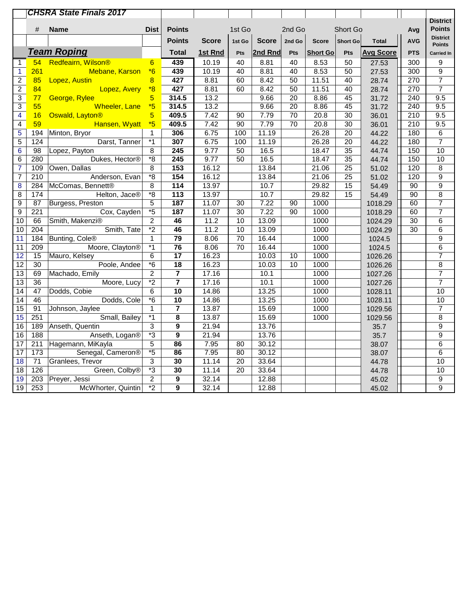|                 |                  | <b>CHSRA State Finals 2017</b> |                                                |                         |              |                 |                   |                 |                 |                 |                  |                  |                                  |
|-----------------|------------------|--------------------------------|------------------------------------------------|-------------------------|--------------|-----------------|-------------------|-----------------|-----------------|-----------------|------------------|------------------|----------------------------------|
|                 |                  |                                |                                                |                         |              |                 |                   |                 |                 |                 |                  |                  | <b>District</b>                  |
|                 | #                | <b>Name</b>                    | <b>Dist</b>                                    | <b>Points</b>           |              | 1st Go          |                   | 2nd Go          |                 | Short Go        |                  | Avg              | <b>Points</b>                    |
|                 |                  |                                |                                                | <b>Points</b>           | <b>Score</b> | 1st Go          | <b>Score</b>      | 2nd Go          | <b>Score</b>    | Short Go        | <b>Total</b>     | <b>AVG</b>       | <b>District</b><br><b>Points</b> |
|                 |                  | <b>Team Roping</b>             |                                                | <b>Total</b>            | 1st Rnd      | Pts             | 2nd Rnd           | Pts             | <b>Short Go</b> | Pts             | <b>Avg Score</b> | <b>PTS</b>       | <b>Carried In</b>                |
| $\mathbf{1}$    | 54               | Redfeairn, Wilson®             | $6\overline{}$                                 | 439                     | 10.19        | 40              | 8.81              | 40              | 8.53            | 50              | 27.53            | 300              | $\boldsymbol{9}$                 |
| $\mathbf{1}$    | 261              | Mebane, Karson                 | $*6$                                           | 439                     | 10.19        | 40              | 8.81              | 40              | 8.53            | 50              | 27.53            | 300              | 9                                |
| $\overline{2}$  | 85               | Lopez, Austin                  | $\overline{8}$                                 | 427                     | 8.81         | 60              | 8.42              | 50              | 11.51           | 40              | 28.74            | $\overline{270}$ | $\overline{7}$                   |
| $\overline{2}$  | 84               | Lopez, Avery                   | $*8$                                           | 427                     | 8.81         | 60              | 8.42              | 50              | 11.51           | 40              | 28.74            | 270              | $\overline{7}$                   |
| $\overline{3}$  | 77               | George, Rylee                  | $5\overline{)}$                                | 314.5                   | 13.2         |                 | 9.66              | 20              | 8.86            | 45              | 31.72            | 240              | 9.5                              |
| $\overline{3}$  | 55               | <b>Wheeler, Lane</b>           | $*5$                                           | 314.5                   | 13.2         |                 | 9.66              | 20              | 8.86            | 45              | 31.72            | 240              | 9.5                              |
| $\overline{4}$  | 16               | Oswald, Layton <sup>®</sup>    | 5                                              | 409.5                   | 7.42         | 90              | 7.79              | $\overline{70}$ | 20.8            | $\overline{30}$ | 36.01            | 210              | 9.5                              |
| $\overline{4}$  | 59               | Hansen, Wyatt                  | $*5$                                           | 409.5                   | 7.42         | $\overline{90}$ | 7.79              | $\overline{70}$ | 20.8            | $\overline{30}$ | 36.01            | $\overline{210}$ | $\overline{9.5}$                 |
| $\overline{5}$  | 194              | Minton, Bryor                  | $\mathbf{1}$                                   | 306                     | 6.75         | 100             | 11.19             |                 | 26.28           | $\overline{20}$ | 44.22            | 180              | $\overline{6}$                   |
| $\overline{5}$  | 124              | Darst, Tanner                  | $*_{1}$                                        | 307                     | 6.75         | 100             | 11.19             |                 | 26.28           | $\overline{20}$ | 44.22            | 180              | $\overline{7}$                   |
| $6\phantom{1}6$ | 98               | Lopez, Payton                  | 8                                              | 245                     | 9.77         | 50              | 16.5              |                 | 18.47           | $\overline{35}$ | 44.74            | 150              | 10                               |
| $\overline{6}$  | 280              | Dukes, Hector®                 | $\overline{\ }$ 8                              | 245                     | 9.77         | 50              | $\overline{16.5}$ |                 | 18.47           | $\overline{35}$ | 44.74            | 150              | 10                               |
| $\overline{7}$  | 109              | Owen, Dallas                   | 8                                              | $\overline{153}$        | 16.12        |                 | 13.84             |                 | 21.06           | $\overline{25}$ | 51.02            | 120              | $\bf 8$                          |
| $\overline{7}$  | 210              | Anderson, Evan                 | $*_{8}$                                        | 154                     | 16.12        |                 | 13.84             |                 | 21.06           | $\overline{25}$ | 51.02            | 120              | $\overline{9}$                   |
| $\overline{8}$  | 284              | McComas, Bennett®              | $\overline{8}$                                 | $\overline{114}$        | 13.97        |                 | 10.7              |                 | 29.82           | $\overline{15}$ | 54.49            | $\overline{90}$  | $\overline{9}$                   |
| $\overline{8}$  | 174              | Helton, Jace®                  | $\overline{\ }$ 8                              | $\overline{113}$        | 13.97        |                 | 10.7              |                 | 29.82           | 15              | 54.49            | 90               | $\overline{8}$                   |
| 9               | 87               | Burgess, Preston               | $\overline{5}$                                 | 187                     | 11.07        | 30              | 7.22              | 90              | 1000            |                 | 1018.29          | 60               | $\overline{7}$                   |
| $\overline{9}$  | $\overline{221}$ | Cox, Cayden                    | $*_{5}$                                        | 187                     | 11.07        | $\overline{30}$ | 7.22              | 90              | 1000            |                 | 1018.29          | 60               | $\overline{7}$                   |
| 10              | 66               | Smith, Makenzi®                | $\overline{2}$                                 | 46                      | 11.2         | 10              | 13.09             |                 | 1000            |                 | 1024.29          | $\overline{30}$  | 6                                |
| 10              | 204              | Smith, Tate                    | $*_{2}$                                        | 46                      | 11.2         | 10              | 13.09             |                 | 1000            |                 | 1024.29          | $\overline{30}$  | $\,6$                            |
| 11              | 184              | Bunting, Cole <sup>®</sup>     | $\mathbf{1}$                                   | 79                      | 8.06         | 70              | 16.44             |                 | 1000            |                 | 1024.5           |                  | $\overline{9}$                   |
| $\overline{11}$ | 209              | Moore, Clayton <sup>®</sup>    | $*_{1}$                                        | $\overline{76}$         | 8.06         | $\overline{70}$ | 16.44             |                 | 1000            |                 | 1024.5           |                  | $\overline{6}$                   |
| $\overline{12}$ | 15               | Mauro, Kelsey                  | 6                                              | $\overline{17}$         | 16.23        |                 | 10.03             | 10              | 1000            |                 | 1026.26          |                  | $\overline{7}$                   |
| $\overline{12}$ | $\overline{30}$  | Poole, Andee                   | $\overline{\overline{\phantom{0}}\phantom{0}}$ | $\overline{18}$         | 16.23        |                 | 10.03             | 10              | 1000            |                 | 1026.26          |                  | $\bf 8$                          |
| $\overline{13}$ | 69               | Machado, Emily                 | $\overline{2}$                                 | $\overline{\mathbf{7}}$ | 17.16        |                 | 10.1              |                 | 1000            |                 | 1027.26          |                  | $\overline{7}$                   |
| $\overline{13}$ | $\overline{36}$  | Moore, Lucy                    | $\overline{2}$                                 | $\overline{\mathbf{7}}$ | 17.16        |                 | 10.1              |                 | 1000            |                 | 1027.26          |                  | $\overline{7}$                   |
| $\overline{14}$ | $\overline{47}$  | Dodds, Cobie                   | 6                                              | 10                      | 14.86        |                 | 13.25             |                 | 1000            |                 | 1028.11          |                  | 10                               |
| $\overline{14}$ | 46               | Dodds, Cole                    | $\overline{\ }$ 6                              | $\overline{10}$         | 14.86        |                 | 13.25             |                 | 1000            |                 | 1028.11          |                  | $\overline{10}$                  |
| $\overline{15}$ | $\overline{91}$  | Johnson, Jaylee                | $\mathbf{1}$                                   | $\overline{\mathbf{7}}$ | 13.87        |                 | 15.69             |                 | 1000            |                 | 1029.56          |                  | $\overline{7}$                   |
| 15              | 251              | Small, Bailey                  | $*_{1}$                                        | $\overline{\mathbf{8}}$ | 13.87        |                 | 15.69             |                 | 1000            |                 | 1029.56          |                  | $\overline{8}$                   |
| 16              | 189              | Anseth, Quentin                | 3                                              | $\overline{9}$          | 21.94        |                 | 13.76             |                 |                 |                 | 35.7             |                  | $\overline{9}$                   |
| 16              | 188              | Anseth, Logan®                 | $*3$                                           | $\overline{\mathbf{9}}$ | 21.94        |                 | 13.76             |                 |                 |                 | 35.7             |                  | $\overline{9}$                   |
| $\overline{17}$ | $\overline{211}$ | Hagemann, MiKayla              | $\overline{5}$                                 | 86                      | 7.95         | 80              | 30.12             |                 |                 |                 | 38.07            |                  | $\overline{6}$                   |
| 17              | 173              | Senegal, Cameron®              | $*_{5}$                                        | 86                      | 7.95         | 80              | 30.12             |                 |                 |                 | 38.07            |                  | $\overline{6}$                   |
| $\overline{18}$ | $\overline{71}$  | Granlees, Trevor               | $\overline{3}$                                 | $\overline{30}$         | 11.14        | $\overline{20}$ | 33.64             |                 |                 |                 | 44.78            |                  | 10                               |
| $\overline{18}$ | 126              | Green, Colby <sup>®</sup>      | $\overline{\cdot}$ 3                           | $\overline{30}$         | 11.14        | $\overline{20}$ | 33.64             |                 |                 |                 | 44.78            |                  | 10                               |
| 19              | $\overline{203}$ | Preyer, Jessi                  | $\overline{2}$                                 | $\overline{9}$          | 32.14        |                 | 12.88             |                 |                 |                 | 45.02            |                  | $\overline{9}$                   |
| 19              | 253              | McWhorter, Quintin             | $*_{2}$                                        | $\overline{9}$          | 32.14        |                 | 12.88             |                 |                 |                 | 45.02            |                  | $\overline{9}$                   |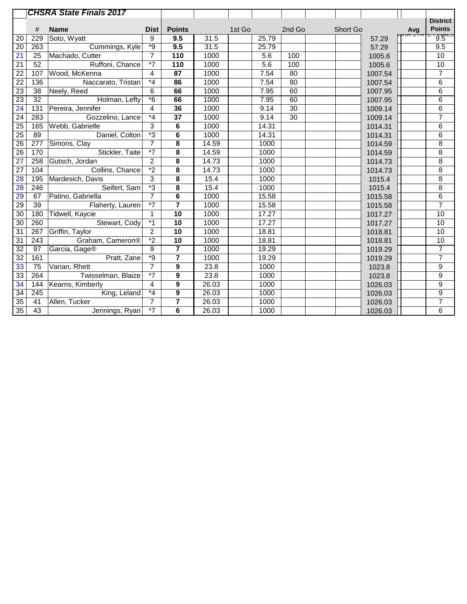|                 |                  | <b>CHSRA State Finals 2017</b> |                |                         |                   |        |       |                 |          |         |                                                           |                  |
|-----------------|------------------|--------------------------------|----------------|-------------------------|-------------------|--------|-------|-----------------|----------|---------|-----------------------------------------------------------|------------------|
|                 |                  |                                |                |                         |                   |        |       |                 |          |         |                                                           | <b>District</b>  |
|                 | #                | <b>Name</b>                    | <b>Dist</b>    | <b>Points</b>           |                   | 1st Go |       | 2nd Go          | Short Go |         | $\begin{bmatrix} \text{Avg} \\ \text{FPIM} \end{bmatrix}$ | <b>Points</b>    |
| 20              | 229              | Soto, Wyatt                    | 9              | 9.5                     | 31.5              |        | 25.79 |                 |          | 57.29   |                                                           |                  |
| $\overline{20}$ | 263              | Cummings, Kyle                 | $*9$           | 9.5                     | $\overline{31.5}$ |        | 25.79 |                 |          | 57.29   |                                                           | 9.5              |
| 21              | 25               | Machado, Cutter                | $\overline{7}$ | 110                     | 1000              |        | 5.6   | 100             |          | 1005.6  |                                                           | 10               |
| 21              | 52               | Ruffoni, Chance                | $*7$           | 110                     | 1000              |        | 5.6   | 100             |          | 1005.6  |                                                           | 10               |
| $\overline{22}$ | 107              | Wood, McKenna                  | $\overline{4}$ | $\overline{87}$         | 1000              |        | 7.54  | $\overline{80}$ |          | 1007.54 |                                                           | $\overline{7}$   |
| $\overline{22}$ | 136              | Naccarato, Tristan             | $*_{4}$        | 86                      | 1000              |        | 7.54  | $\overline{80}$ |          | 1007.54 |                                                           | $\,6$            |
| 23              | 38               | Neely, Reed                    | 6              | 66                      | 1000              |        | 7.95  | 60              |          | 1007.95 |                                                           | 6                |
| 23              | $\overline{32}$  | Holman, Lefty                  | $*6$           | 66                      | 1000              |        | 7.95  | 60              |          | 1007.95 |                                                           | 6                |
| $\overline{24}$ | $\overline{131}$ | Pereira, Jennifer              | 4              | 36                      | 1000              |        | 9.14  | $\overline{30}$ |          | 1009.14 |                                                           | 6                |
| $\overline{24}$ | 283              | Gozzelino, Lance               | $*_{4}$        | $\overline{37}$         | 1000              |        | 9.14  | $\overline{30}$ |          | 1009.14 |                                                           | $\overline{7}$   |
| $\overline{25}$ | 165              | Webb, Gabrielle                | $\overline{3}$ | $6\overline{6}$         | 1000              |        | 14.31 |                 |          | 1014.31 |                                                           | $6\overline{6}$  |
| 25              | 89               | Daniel, Colton                 | $*3$           | 6                       | 1000              |        | 14.31 |                 |          | 1014.31 |                                                           | $6\overline{6}$  |
| $\overline{26}$ | $\overline{277}$ | Simons, Clay                   | $\overline{7}$ | 8                       | 14.59             |        | 1000  |                 |          | 1014.59 |                                                           | $\overline{8}$   |
| $\overline{26}$ | 170              | Stickler, Taite                | $\overline{7}$ | 8                       | 14.59             |        | 1000  |                 |          | 1014.59 |                                                           | 8                |
| 27              | 258              | Gutsch, Jordan                 | $\overline{2}$ | 8                       | 14.73             |        | 1000  |                 |          | 1014.73 |                                                           | 8                |
| $\overline{27}$ | 104              | Collins, Chance                | $*_{2}$        | 8                       | 14.73             |        | 1000  |                 |          | 1014.73 |                                                           | 8                |
| 28              | 195              | Mardesich, Davis               | 3              | 8                       | 15.4              |        | 1000  |                 |          | 1015.4  |                                                           | 8                |
| $\overline{28}$ | 246              | Seifert, Sam                   | $*3$           | $\overline{\mathbf{8}}$ | 15.4              |        | 1000  |                 |          | 1015.4  |                                                           | $\overline{8}$   |
| 29              | 67               | Patino, Gabriella              | $\overline{7}$ | 6                       | 1000              |        | 15.58 |                 |          | 1015.58 |                                                           | $\overline{6}$   |
| 29              | 39               | Flaherty, Lauren               | $\overline{7}$ | $\overline{\mathbf{7}}$ | 1000              |        | 15.58 |                 |          | 1015.58 |                                                           | $\overline{7}$   |
| 30              | 180              | Tidwell, Kaycie                | $\mathbf{1}$   | $\overline{10}$         | 1000              |        | 17.27 |                 |          | 1017.27 |                                                           | 10               |
| $\overline{30}$ | 260              | Stewart, Cody                  | $*1$           | 10                      | 1000              |        | 17.27 |                 |          | 1017.27 |                                                           | 10               |
| 31              | 267              | Griffin, Taylor                | $\overline{2}$ | 10                      | 1000              |        | 18.81 |                 |          | 1018.81 |                                                           | 10               |
| $\overline{31}$ | $\overline{243}$ | Graham, Cameron®               | $\overline{2}$ | 10                      | 1000              |        | 18.81 |                 |          | 1018.81 |                                                           | 10               |
| $\overline{32}$ | 97               | Garcia, Gage®                  | 9              | $\overline{\mathbf{z}}$ | 1000              |        | 19.29 |                 |          | 1019.29 |                                                           | $\overline{7}$   |
| $\overline{32}$ | 161              | Pratt, Zane                    | $*9$           | $\overline{\mathbf{r}}$ | 1000              |        | 19.29 |                 |          | 1019.29 |                                                           | $\overline{7}$   |
| $\overline{33}$ | $\overline{75}$  | Varian, Rhett                  | $\overline{7}$ | 9                       | 23.8              |        | 1000  |                 |          | 1023.8  |                                                           | $\boldsymbol{9}$ |
| 33              | 264              | Twisselman, Blaize             | $\overline{7}$ | 9                       | 23.8              |        | 1000  |                 |          | 1023.8  |                                                           | $\boldsymbol{9}$ |
| 34              | 144              | Kearns, Kimberly               | 4              | 9                       | 26.03             |        | 1000  |                 |          | 1026.03 |                                                           | $\overline{9}$   |
| $\overline{34}$ | $\overline{245}$ | King, Leland                   | $*_{4}$        | $\boldsymbol{9}$        | 26.03             |        | 1000  |                 |          | 1026.03 |                                                           | $\overline{9}$   |
| $\overline{35}$ | 41               | Allen, Tucker                  | $\overline{7}$ | 7                       | 26.03             |        | 1000  |                 |          | 1026.03 |                                                           | $\overline{7}$   |
| $\overline{35}$ | 43               | Jennings, Ryan                 | $\overline{7}$ | 6                       | 26.03             |        | 1000  |                 |          | 1026.03 |                                                           | $\overline{6}$   |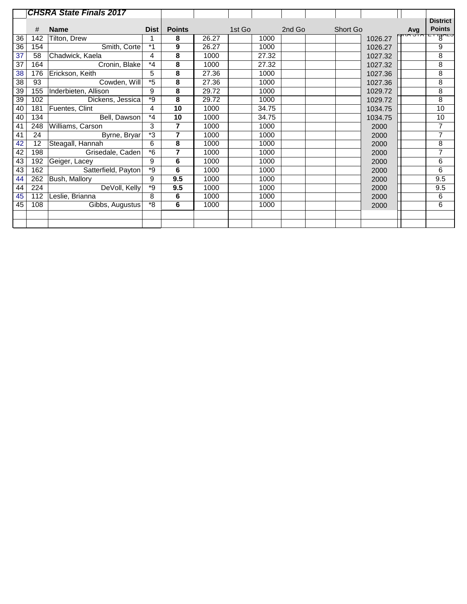|    |     | <b>CHSRA State Finals 2017</b> |         |                |       |        |       |        |          |         |     |                 |
|----|-----|--------------------------------|---------|----------------|-------|--------|-------|--------|----------|---------|-----|-----------------|
|    |     |                                |         |                |       |        |       |        |          |         |     | <b>District</b> |
|    | #   | <b>Name</b>                    | Dist    | <b>Points</b>  |       | 1st Go |       | 2nd Go | Short Go |         | Avg | <b>Points</b>   |
| 36 | 142 | Tilton, Drew                   |         | 8              | 26.27 |        | 1000  |        |          | 1026.27 |     | $\mathbb{P}$    |
| 36 | 154 | Smith, Corte                   | $*1$    | 9              | 26.27 |        | 1000  |        |          | 1026.27 |     | 9               |
|    |     |                                |         |                |       |        |       |        |          |         |     |                 |
| 37 | 58  | Chadwick, Kaela                | 4       | 8              | 1000  |        | 27.32 |        |          | 1027.32 |     | 8               |
| 37 | 164 | Cronin, Blake                  | $*_{4}$ | 8              | 1000  |        | 27.32 |        |          | 1027.32 |     | 8               |
| 38 | 176 | Erickson, Keith                | 5       | 8              | 27.36 |        | 1000  |        |          | 1027.36 |     | 8               |
| 38 | 93  | Cowden, Will                   | $*5$    | 8              | 27.36 |        | 1000  |        |          | 1027.36 |     | 8               |
| 39 | 155 | Inderbieten, Allison           | 9       | 8              | 29.72 |        | 1000  |        |          | 1029.72 |     | $\overline{8}$  |
| 39 | 102 | Dickens, Jessica               | *9      | 8              | 29.72 |        | 1000  |        |          | 1029.72 |     | $\overline{8}$  |
| 40 | 181 | Fuentes, Clint                 | 4       | 10             | 1000  |        | 34.75 |        |          | 1034.75 |     | 10              |
| 40 | 134 | Bell, Dawson                   | $*_{4}$ | 10             | 1000  |        | 34.75 |        |          | 1034.75 |     | 10              |
| 41 | 248 | Williams, Carson               | 3       | 7              | 1000  |        | 1000  |        |          | 2000    |     | $\overline{7}$  |
| 41 | 24  | Byrne, Bryar                   | *3      | $\overline{7}$ | 1000  |        | 1000  |        |          | 2000    |     | 7               |
| 42 | 12  | Steagall, Hannah               | 6       | 8              | 1000  |        | 1000  |        |          | 2000    |     | 8               |
| 42 | 198 | Grisedale, Caden               | $*6$    | 7              | 1000  |        | 1000  |        |          | 2000    |     | 7               |
| 43 | 192 | Geiger, Lacey                  | 9       | 6              | 1000  |        | 1000  |        |          | 2000    |     | $\,6$           |
| 43 | 162 | Satterfield, Payton            | *9      | 6              | 1000  |        | 1000  |        |          | 2000    |     | $\,6$           |
| 44 | 262 | Bush, Mallory                  | 9       | 9.5            | 1000  |        | 1000  |        |          | 2000    |     | 9.5             |
| 44 | 224 | DeVoll, Kelly                  | *9      | 9.5            | 1000  |        | 1000  |        |          | 2000    |     | 9.5             |
| 45 | 112 | Leslie, Brianna                | 8       | 6              | 1000  |        | 1000  |        |          | 2000    |     | 6               |
| 45 | 108 | Gibbs, Augustus                | *8      | 6              | 1000  |        | 1000  |        |          | 2000    |     | 6               |
|    |     |                                |         |                |       |        |       |        |          |         |     |                 |
|    |     |                                |         |                |       |        |       |        |          |         |     |                 |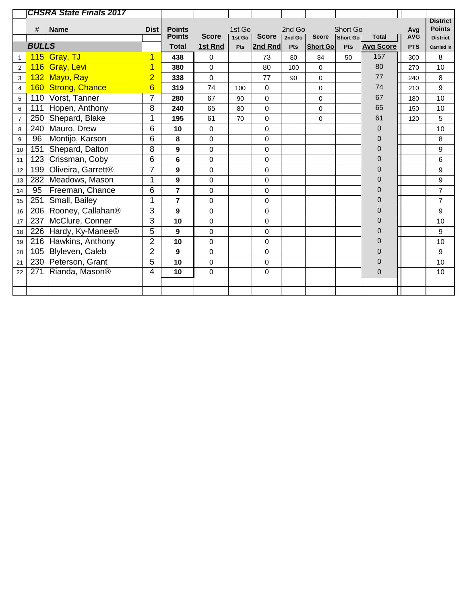|                         |              | <b>CHSRA State Finals 2017</b> |                |                                |              |                  |              |                  |                 |                      |                  |                   |                                                     |
|-------------------------|--------------|--------------------------------|----------------|--------------------------------|--------------|------------------|--------------|------------------|-----------------|----------------------|------------------|-------------------|-----------------------------------------------------|
|                         | #            | <b>Name</b>                    | <b>Dist</b>    | <b>Points</b><br><b>Points</b> | <b>Score</b> | 1st Go<br>1st Go | <b>Score</b> | 2nd Go<br>2nd Go | <b>Score</b>    | Short Go<br>Short Go | <b>Total</b>     | Avg<br><b>AVG</b> | <b>District</b><br><b>Points</b><br><b>District</b> |
|                         | <b>BULLS</b> |                                |                | <b>Total</b>                   | 1st Rnd      | Pts              | 2nd Rnd      | Pts              | <b>Short Go</b> | Pts                  | <b>Avg Score</b> | <b>PTS</b>        | <b>Carried In</b>                                   |
| 1                       |              | 115 Gray, TJ                   |                | 438                            | 0            |                  | 73           | 80               | 84              | 50                   | 157              | 300               | 8                                                   |
| $\sqrt{2}$              | 116          | Gray, Levi                     |                | 380                            | $\Omega$     |                  | 80           | 100              | $\mathbf 0$     |                      | 80               | 270               | 10                                                  |
| 3                       |              | 132 Mayo, Ray                  | $\overline{2}$ | 338                            | $\mathbf 0$  |                  | 77           | 90               | 0               |                      | 77               | 240               | 8                                                   |
| $\overline{\mathbf{4}}$ |              | 160 Strong, Chance             | 6              | 319                            | 74           | 100              | $\Omega$     |                  | $\mathbf 0$     |                      | 74               | 210               | 9                                                   |
| 5                       |              | 110 Vorst, Tanner              | 7              | 280                            | 67           | 90               | 0            |                  | $\mathbf 0$     |                      | 67               | 180               | 10                                                  |
| 6                       | 111          | Hopen, Anthony                 | 8              | 240                            | 65           | 80               | $\mathbf 0$  |                  | $\mathbf 0$     |                      | 65               | 150               | 10                                                  |
| $\overline{7}$          | 250          | Shepard, Blake                 | 1              | 195                            | 61           | 70               | $\mathbf 0$  |                  | $\mathbf 0$     |                      | 61               | 120               | 5                                                   |
| $\,8\,$                 | 240          | Mauro, Drew                    | 6              | 10                             | $\mathbf 0$  |                  | 0            |                  |                 |                      | 0                |                   | 10                                                  |
| $\boldsymbol{9}$        | 96           | Montijo, Karson                | 6              | 8                              | $\mathbf 0$  |                  | $\mathbf 0$  |                  |                 |                      | 0                |                   | 8                                                   |
| 10                      | 151          | Shepard, Dalton                | 8              | 9                              | $\mathbf 0$  |                  | 0            |                  |                 |                      | 0                |                   | 9                                                   |
| 11                      | 123          | Crissman, Coby                 | 6              | 6                              | $\Omega$     |                  | 0            |                  |                 |                      | 0                |                   | 6                                                   |
| 12                      | 199          | Oliveira, Garrett <sup>®</sup> | $\overline{7}$ | 9                              | $\mathbf 0$  |                  | 0            |                  |                 |                      | 0                |                   | 9                                                   |
| 13                      | 282          | Meadows, Mason                 | 1              | 9                              | $\Omega$     |                  | $\Omega$     |                  |                 |                      | 0                |                   | 9                                                   |
| 14                      | 95           | Freeman, Chance                | 6              | 7                              | $\mathbf 0$  |                  | 0            |                  |                 |                      | 0                |                   | $\overline{7}$                                      |
| 15                      | 251          | Small, Bailey                  | 1              | $\overline{7}$                 | $\mathbf 0$  |                  | $\mathbf 0$  |                  |                 |                      | 0                |                   | $\overline{7}$                                      |
| 16                      | 206          | Rooney, Callahan <sup>®</sup>  | 3              | 9                              | $\mathbf 0$  |                  | 0            |                  |                 |                      | 0                |                   | 9                                                   |
| 17                      | 237          | McClure, Conner                | 3              | 10                             | $\Omega$     |                  | 0            |                  |                 |                      | 0                |                   | 10                                                  |
| 18                      | 226          | Hardy, Ky-Manee <sup>®</sup>   | 5              | 9                              | $\mathbf 0$  |                  | $\mathbf 0$  |                  |                 |                      | 0                |                   | 9                                                   |
| 19                      | 216          | Hawkins, Anthony               | $\overline{2}$ | 10                             | $\mathbf 0$  |                  | $\mathbf 0$  |                  |                 |                      | $\overline{0}$   |                   | 10                                                  |
| 20                      | 105          | Blyleven, Caleb                | $\overline{2}$ | 9                              | $\mathbf 0$  |                  | $\mathbf 0$  |                  |                 |                      | 0                |                   | 9                                                   |
| 21                      | 230          | Peterson, Grant                | 5              | 10                             | $\mathbf 0$  |                  | 0            |                  |                 |                      | $\overline{0}$   |                   | 10                                                  |
| 22                      | 271          | Rianda, Mason <sup>®</sup>     | 4              | 10                             | $\mathbf 0$  |                  | 0            |                  |                 |                      | $\overline{0}$   |                   | 10                                                  |
|                         |              |                                |                |                                |              |                  |              |                  |                 |                      |                  |                   |                                                     |
|                         |              |                                |                |                                |              |                  |              |                  |                 |                      |                  |                   |                                                     |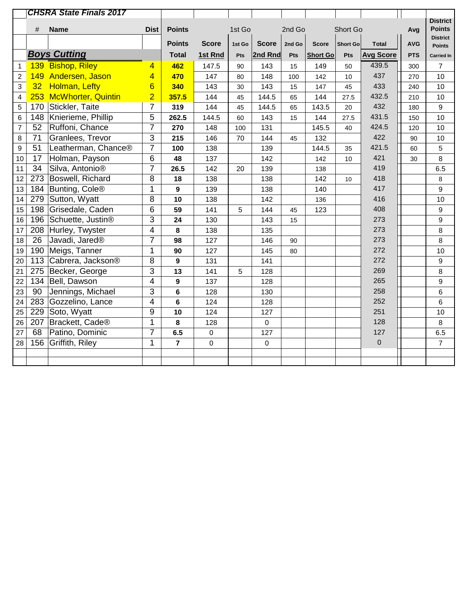|                |                 | <b>CHSRA State Finals 2017</b> |                |                |              |        |              |        |                 |                 |                  |            |                                  |
|----------------|-----------------|--------------------------------|----------------|----------------|--------------|--------|--------------|--------|-----------------|-----------------|------------------|------------|----------------------------------|
|                |                 |                                |                |                |              |        |              |        |                 |                 |                  |            | <b>District</b><br><b>Points</b> |
|                | #               | <b>Name</b>                    | <b>Dist</b>    | <b>Points</b>  |              | 1st Go |              | 2nd Go |                 | Short Go        |                  | Avg        | <b>District</b>                  |
|                |                 |                                |                | <b>Points</b>  | <b>Score</b> | 1st Go | <b>Score</b> | 2nd Go | <b>Score</b>    | <b>Short Go</b> | <b>Total</b>     | <b>AVG</b> | <b>Points</b>                    |
|                |                 | <b>Boys Cutting</b>            |                | <b>Total</b>   | 1st Rnd      | Pts    | 2nd Rnd      | Pts    | <b>Short Go</b> | Pts             | <b>Avg Score</b> | <b>PTS</b> | <b>Carried In</b>                |
| 1              |                 | 139 Bishop, Riley              | 4              | 462            | 147.5        | 90     | 143          | 15     | 149             | 50              | 439.5            | 300        | $\overline{7}$                   |
| $\overline{c}$ | 149             | Andersen, Jason                | 4              | 470            | 147          | 80     | 148          | 100    | 142             | 10              | 437              | 270        | 10                               |
| 3              | 32 <sup>2</sup> | <b>Holman, Lefty</b>           | 6              | 340            | 143          | 30     | 143          | 15     | 147             | 45              | 433              | 240        | 10                               |
| 4              |                 | 253 McWhorter, Quintin         | $\overline{2}$ | 357.5          | 144          | 45     | 144.5        | 65     | 144             | 27.5            | 432.5            | 210        | 10                               |
| 5              |                 | 170 Stickler, Taite            | $\overline{7}$ | 319            | 144          | 45     | 144.5        | 65     | 143.5           | 20              | 432              | 180        | 9                                |
| 6              |                 | 148 Knierieme, Phillip         | 5              | 262.5          | 144.5        | 60     | 143          | 15     | 144             | 27.5            | 431.5            | 150        | 10                               |
| $\overline{7}$ | 52              | Ruffoni, Chance                | $\overline{7}$ | 270            | 148          | 100    | 131          |        | 145.5           | 40              | 424.5            | 120        | 10                               |
| 8              | 71              | Granlees, Trevor               | 3              | 215            | 146          | 70     | 144          | 45     | 132             |                 | 422              | 90         | $10$                             |
| 9              | 51              | Leatherman, Chance®            | $\overline{7}$ | 100            | 138          |        | 139          |        | 144.5           | 35              | 421.5            | 60         | 5                                |
| 10             | 17              | Holman, Payson                 | 6              | 48             | 137          |        | 142          |        | 142             | 10              | 421              | 30         | 8                                |
| 11             | 34              | Silva, Antonio®                | $\overline{7}$ | 26.5           | 142          | 20     | 139          |        | 138             |                 | 419              |            | 6.5                              |
| 12             |                 | 273 Boswell, Richard           | 8              | 18             | 138          |        | 138          |        | 142             | 10              | 418              |            | 8                                |
| 13             |                 | 184 Bunting, Cole®             | 1              | 9              | 139          |        | 138          |        | 140             |                 | 417              |            | $\boldsymbol{9}$                 |
| 14             |                 | 279 Sutton, Wyatt              | 8              | 10             | 138          |        | 142          |        | 136             |                 | 416              |            | 10                               |
| 15             | 198             | Grisedale, Caden               | 6              | 59             | 141          | 5      | 144          | 45     | 123             |                 | 408              |            | $\boldsymbol{9}$                 |
| 16             |                 | 196 Schuette, Justin®          | 3              | 24             | 130          |        | 143          | 15     |                 |                 | 273              |            | $\boldsymbol{9}$                 |
| 17             |                 | 208 Hurley, Twyster            | $\overline{4}$ | 8              | 138          |        | 135          |        |                 |                 | 273              |            | 8                                |
| 18             | 26              | Javadi, Jared <sup>®</sup>     | $\overline{7}$ | 98             | 127          |        | 146          | 90     |                 |                 | 273              |            | 8                                |
| 19             |                 | 190 Meigs, Tanner              | 1              | 90             | 127          |        | 145          | 80     |                 |                 | 272              |            | 10                               |
| 20             |                 | 113 Cabrera, Jackson®          | 8              | 9              | 131          |        | 141          |        |                 |                 | 272              |            | $\boldsymbol{9}$                 |
| 21             |                 | 275   Becker, George           | 3              | 13             | 141          | 5      | 128          |        |                 |                 | 269              |            | 8                                |
| 22             |                 | 134 Bell, Dawson               | $\overline{4}$ | 9              | 137          |        | 128          |        |                 |                 | 265              |            | 9                                |
| 23             | 90              | Jennings, Michael              | 3              | 6              | 128          |        | 130          |        |                 |                 | 258              |            | 6                                |
| 24             | 283             | Gozzelino, Lance               | $\overline{4}$ | 6              | 124          |        | 128          |        |                 |                 | 252              |            | $6\phantom{1}$                   |
| 25             |                 | 229 Soto, Wyatt                | 9              | 10             | 124          |        | 127          |        |                 |                 | 251              |            | 10                               |
| 26             | 207             | Brackett, Cade <sup>®</sup>    | 1              | 8              | 128          |        | $\mathbf 0$  |        |                 |                 | 128              |            | 8                                |
| 27             | 68              | Patino, Dominic                | $\overline{7}$ | 6.5            | $\mathbf 0$  |        | 127          |        |                 |                 | 127              |            | 6.5                              |
| 28             | 156             | Griffith, Riley                | 1              | $\overline{7}$ | 0            |        | 0            |        |                 |                 | $\mathbf 0$      |            | $\overline{7}$                   |
|                |                 |                                |                |                |              |        |              |        |                 |                 |                  |            |                                  |
|                |                 |                                |                |                |              |        |              |        |                 |                 |                  |            |                                  |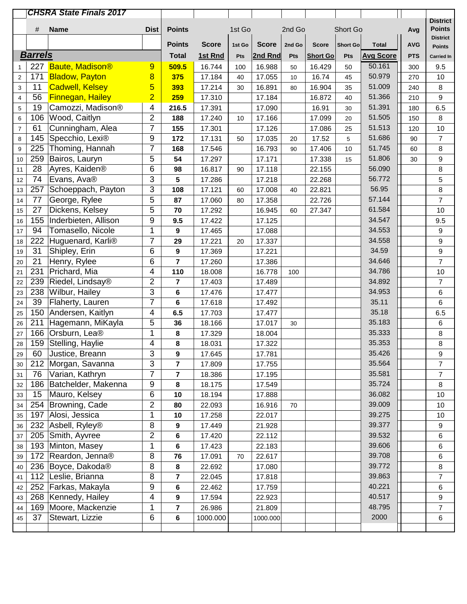|                         |                | <b>CHSRA State Finals 2017</b>      |                |                         |                  |        |                  |        |                 |                 |                  |            |                                  |
|-------------------------|----------------|-------------------------------------|----------------|-------------------------|------------------|--------|------------------|--------|-----------------|-----------------|------------------|------------|----------------------------------|
|                         |                |                                     |                |                         |                  |        |                  |        |                 |                 |                  |            | <b>District</b><br><b>Points</b> |
|                         | #              | <b>Name</b>                         | <b>Dist</b>    | <b>Points</b>           |                  | 1st Go |                  | 2nd Go |                 | Short Go        |                  | Avg        | <b>District</b>                  |
|                         |                |                                     |                | <b>Points</b>           | <b>Score</b>     | 1st Go | <b>Score</b>     | 2nd Go | <b>Score</b>    | <b>Short Go</b> | <b>Total</b>     | <b>AVG</b> | <b>Points</b>                    |
|                         | <b>Barrels</b> |                                     |                | <b>Total</b>            | 1st Rnd          | Pts    | 2nd Rnd          | Pts    | <b>Short Go</b> | Pts             | <b>Avg Score</b> | <b>PTS</b> | <b>Carried In</b>                |
| 1                       | 227            | <b>Baute, Madison®</b>              | 9              | 509.5                   | 16.744           | 100    | 16.988           | 50     | 16.429          | 50              | 50.161           | 300        | 9.5                              |
| $\sqrt{2}$              | 171            | <b>Bladow, Payton</b>               | 8              | 375                     | 17.184           | 40     | 17.055           | 10     | 16.74           | 45              | 50.979           | 270        | 10                               |
| 3                       | 11             | <b>Cadwell, Kelsey</b>              | 5              | 393                     | 17.214           | 30     | 16.891           | 80     | 16.904          | 35              | 51.009           | 240        | 8                                |
| $\overline{\mathbf{4}}$ | 56             | <b>Finnegan, Hailey</b>             | $\overline{2}$ | 259                     | 17.310           |        | 17.184           |        | 16.872          | 40              | 51.366           | 210        | 9                                |
| 5                       | 19             | Camozzi, Madison®                   | 4              | 216.5                   | 17.391           |        | 17.090           |        | 16.91           | 30              | 51.391           | 180        | 6.5                              |
| 6                       | 106            | Wood, Caitlyn                       | $\overline{2}$ | 188                     | 17.240           | 10     | 17.166           |        | 17.099          | 20              | 51.505           | 150        | 8                                |
| $\overline{7}$          | 61             | Cunningham, Alea                    | $\overline{7}$ | 155                     | 17.301           |        | 17.126           |        | 17.086          | 25              | 51.513           | 120        | 10                               |
| 8                       | 145            | Specchio, Lexi®                     | 9              | 172                     | 17.131           | 50     | 17.035           | 20     | 17.52           | 5               | 51.686           | 90         | $\overline{7}$                   |
| $\boldsymbol{9}$        | 225            | Thoming, Hannah                     | 7              | 168                     | 17.546           |        | 16.793           | 90     | 17.406          | 10              | 51.745           | 60         | 8                                |
| 10                      | 259            | Bairos, Lauryn                      | 5              | 54                      | 17.297           |        | 17.171           |        | 17.338          | 15              | 51.806           | 30         | 9                                |
| 11                      | 28             | Ayres, Kaiden®                      | 6              | 98                      | 16.817           | 90     | 17.118           |        | 22.155          |                 | 56.090           |            | 8                                |
| 12                      | 74             | Evans, Ava®                         | 3              | 5                       | 17.286           |        | 17.218           |        | 22.268          |                 | 56.772           |            | 5                                |
| 13                      | 257            | Schoeppach, Payton                  | 3              | 108                     | 17.121           | 60     | 17.008           | 40     | 22.821          |                 | 56.95            |            | 8                                |
| 14                      | 77             | George, Rylee                       | 5              | 87                      | 17.060           | 80     | 17.358           |        | 22.726          |                 | 57.144           |            | $\overline{7}$                   |
| 15                      | 27             | Dickens, Kelsey                     | 5              | 70                      | 17.292           |        | 16.945           | 60     | 27.347          |                 | 61.584           |            | 10                               |
| 16                      | 155            | Inderbieten, Allison                | 9              | 9.5                     | 17.422           |        | 17.125           |        |                 |                 | 34.547           |            | 9.5                              |
| 17                      | 94             | Tomasello, Nicole                   | 1              | 9                       | 17.465           |        | 17.088           |        |                 |                 | 34.553           |            | $\boldsymbol{9}$                 |
| 18                      | 222            | Huguenard, Karli®                   | $\overline{7}$ | 29                      | 17.221           | 20     | 17.337           |        |                 |                 | 34.558           |            | 9                                |
| 19                      | 31             | Shipley, Erin                       | 6              | 9                       | 17.369           |        | 17.221           |        |                 |                 | 34.59            |            | $\boldsymbol{9}$                 |
| 20                      | 21             | Henry, Rylee                        | 6              | $\overline{7}$          | 17.260           |        | 17.386           |        |                 |                 | 34.646           |            | $\overline{7}$                   |
| 21                      | 231            | Prichard, Mia                       | 4              | 110                     | 18.008           |        | 16.778           | 100    |                 |                 | 34.786           |            | 10                               |
| 22                      | 239            | Riedel, Lindsay®                    | $\overline{2}$ | $\overline{\mathbf{r}}$ | 17.403           |        | 17.489           |        |                 |                 | 34.892           |            | $\overline{7}$                   |
| 23                      | 238            | Wilbur, Hailey                      | 3              | 6                       | 17.476           |        | 17.477           |        |                 |                 | 34.953           |            | $\,6\,$                          |
| 24                      | 39             | Flaherty, Lauren                    | $\overline{7}$ | 6                       | 17.618           |        | 17.492           |        |                 |                 | 35.11            |            | 6                                |
| 25                      | 150            | Andersen, Kaitlyn                   | 4              | 6.5                     | 17.703           |        | 17.477           |        |                 |                 | 35.18            |            | 6.5                              |
| 26                      | 211            | Hagemann, MiKayla                   | 5              | 36                      | 18.166           |        | 17.017           | 30     |                 |                 | 35.183           |            | 6                                |
| 27                      | 166            | Orsburn, Lea®                       | 1<br>4         | 8                       | 17.329           |        | 18.004           |        |                 |                 | 35.333<br>35.353 |            | 8                                |
| 28                      | 159            | Stelling, Haylie<br>Justice, Breann |                | 8                       | 18.031           |        | 17.322           |        |                 |                 | 35.426           |            | 8                                |
| 29                      | 60             |                                     | 3<br>3         | 9<br>$\overline{7}$     | 17.645           |        | 17.781           |        |                 |                 | 35.564           |            | 9<br>$\overline{7}$              |
| 30                      | 212<br>76      | Morgan, Savanna<br>Varian, Kathryn  | 7              |                         | 17.809<br>18.386 |        | 17.755<br>17.195 |        |                 |                 | 35.581           |            | 7                                |
| 31                      | 186            | Batchelder, Makenna                 | 9              | 7                       | 18.175           |        | 17.549           |        |                 |                 | 35.724           |            | 8                                |
| 32                      | 15             | Mauro, Kelsey                       | 6              | 8<br>10                 | 18.194           |        | 17.888           |        |                 |                 | 36.082           |            | 10                               |
| 33<br>34                |                | 254   Browning, Cade                | 2              | 80                      | 22.093           |        | 16.916           | 70     |                 |                 | 39.009           |            | 10                               |
| 35                      | 197            | Alosi, Jessica                      | 1              | $10$                    | 17.258           |        | 22.017           |        |                 |                 | 39.275           |            | 10                               |
| 36                      | 232            | Asbell, Ryley <sup>®</sup>          | 8              | 9                       | 17.449           |        | 21.928           |        |                 |                 | 39.377           |            | $\boldsymbol{9}$                 |
| 37                      | 205            | Smith, Ayvree                       | $\overline{2}$ | 6                       | 17.420           |        | 22.112           |        |                 |                 | 39.532           |            | 6                                |
| 38                      | 193            | Minton, Masey                       | 1              | 6                       | 17.423           |        | 22.183           |        |                 |                 | 39.606           |            | 6                                |
| 39                      | 172            | Reardon, Jenna <sup>®</sup>         | 8              | 76                      | 17.091           | 70     | 22.617           |        |                 |                 | 39.708           |            | 6                                |
| 40                      | 236            | Boyce, Dakoda <sup>®</sup>          | 8              | 8                       | 22.692           |        | 17.080           |        |                 |                 | 39.772           |            | 8                                |
| 41                      |                | 112 Leslie, Brianna                 | 8              | $\overline{7}$          | 22.045           |        | 17.818           |        |                 |                 | 39.863           |            | $\overline{7}$                   |
| 42                      | 252            | Farkas, Makayla                     | 9              | 6                       | 22.462           |        | 17.759           |        |                 |                 | 40.221           |            | 6                                |
| 43                      | 268            | Kennedy, Hailey                     | 4              | 9                       | 17.594           |        | 22.923           |        |                 |                 | 40.517           |            | 9                                |
| 44                      | 169            | Moore, Mackenzie                    | 1              | $\overline{7}$          | 26.986           |        | 21.809           |        |                 |                 | 48.795           |            | $\overline{7}$                   |
| 45                      | 37             | Stewart, Lizzie                     | 6              | 6                       | 1000.000         |        | 1000.000         |        |                 |                 | 2000             |            | 6                                |
|                         |                |                                     |                |                         |                  |        |                  |        |                 |                 |                  |            |                                  |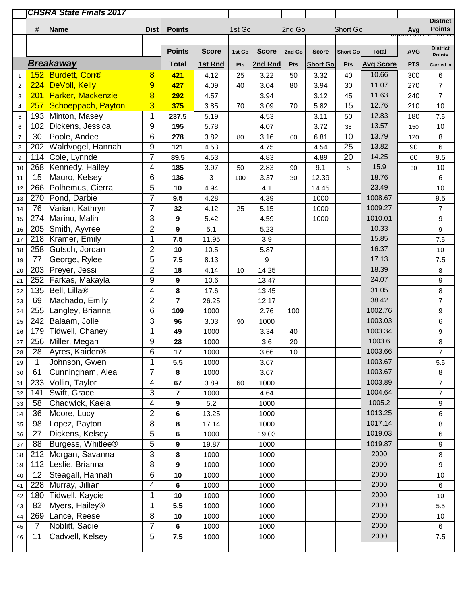|                         |                 | <b>CHSRA State Finals 2017</b>             |                |                         |              |        |              |        |                 |                 |                  |                |                                   |
|-------------------------|-----------------|--------------------------------------------|----------------|-------------------------|--------------|--------|--------------|--------|-----------------|-----------------|------------------|----------------|-----------------------------------|
|                         |                 |                                            |                |                         |              |        |              |        |                 |                 |                  |                | <b>District</b>                   |
|                         | #               | <b>Name</b>                                | <b>Dist</b>    | <b>Points</b>           |              | 1st Go |              | 2nd Go |                 | Short Go        |                  | Avg<br>ຈກຕະວັກ | <b>Points</b><br><b>E FIIVALO</b> |
|                         |                 |                                            |                |                         |              |        |              |        |                 |                 |                  |                | <b>District</b>                   |
|                         |                 |                                            |                | <b>Points</b>           | <b>Score</b> | 1st Go | <b>Score</b> | 2nd Go | <b>Score</b>    | <b>Short Go</b> | <b>Total</b>     | <b>AVG</b>     | <b>Points</b>                     |
|                         |                 | <b>Breakaway</b>                           |                | <b>Total</b>            | 1st Rnd      | Pts    | 2nd Rnd      | Pts    | <b>Short Go</b> | Pts             | <b>Avg Score</b> | <b>PTS</b>     | Carried In                        |
| 1                       |                 | 152 Burdett, Cori®                         | 8              | 421                     | 4.12         | 25     | 3.22         | 50     | 3.32            | 40              | 10.66            | 300            | 6                                 |
| $\overline{c}$          |                 | 224 DeVoll, Kelly                          | 9              | 427                     | 4.09         | 40     | 3.04         | 80     | 3.94            | 30              | 11.07            | 270            | $\overline{7}$                    |
| $\mathbf{3}$            |                 | 201 Parker, Mackenzie                      | 8              | 292                     | 4.57         |        | 3.94         |        | 3.12            | 45              | 11.63            | 240            | $\overline{7}$                    |
| $\overline{\mathbf{4}}$ |                 | 257 Schoeppach, Payton                     | 3              | 375                     | 3.85         | 70     | 3.09         | 70     | 5.82            | 15              | 12.76            | 210            | 10                                |
| 5                       |                 | 193 Minton, Masey                          | 1              | 237.5                   | 5.19         |        | 4.53         |        | 3.11            | 50              | 12.83            | 180            | 7.5                               |
| 6                       | 102             | Dickens, Jessica                           | 9              | 195                     | 5.78         |        | 4.07         |        | 3.72            | 35              | 13.57            | 150            | $10$                              |
| $\overline{7}$          | 30              | Poole, Andee                               | 6              | 278                     | 3.82         | 80     | 3.16         | 60     | 6.81            | 10              | 13.79            | 120            | $\bf 8$                           |
| 8                       | 202             | Waldvogel, Hannah                          | 9              | 121                     | 4.53         |        | 4.75         |        | 4.54            | 25              | 13.82            | 90             | 6                                 |
| $\mathsf g$             | 114             | Cole, Lynnde                               | $\overline{7}$ | 89.5                    | 4.53         |        | 4.83         |        | 4.89            | 20              | 14.25            | 60             | 9.5                               |
| 10                      |                 | 268 Kennedy, Hailey                        | 4              | 185                     | 3.97         | 50     | 2.83         | 90     | 9.1             | 5               | 15.9             | 30             | 10                                |
| 11                      | 15              | Mauro, Kelsey                              | 6              | 136                     | 3            | 100    | 3.37         | 30     | 12.39           |                 | 18.76            |                | $\,6\,$                           |
| 12                      | 266             | Polhemus, Cierra                           | 5              | 10                      | 4.94         |        | 4.1          |        | 14.45           |                 | 23.49            |                | 10                                |
| 13                      |                 | 270 Pond, Darbie                           | $\overline{7}$ | 9.5                     | 4.28         |        | 4.39         |        | 1000            |                 | 1008.67          |                | 9.5                               |
| 14                      | 76              | Varian, Kathryn                            | $\overline{7}$ | 32                      | 4.12         | 25     | 5.15         |        | 1000            |                 | 1009.27          |                | $\overline{7}$                    |
| 15                      | 274             | Marino, Malin                              | 3              | 9                       | 5.42         |        | 4.59         |        | 1000            |                 | 1010.01          |                | $\boldsymbol{9}$                  |
| 16                      | 205             | Smith, Ayvree                              | $\overline{2}$ | 9                       | 5.1          |        | 5.23         |        |                 |                 | 10.33            |                | $\boldsymbol{9}$                  |
| 17                      |                 | 218 Kramer, Emily                          | 1              | 7.5                     | 11.95        |        | 3.9          |        |                 |                 | 15.85            |                | 7.5                               |
| 18                      |                 | 258 Gutsch, Jordan                         | $\overline{2}$ | 10                      | 10.5         |        | 5.87         |        |                 |                 | 16.37            |                | 10                                |
| 19                      | 77              | George, Rylee                              | 5              | 7.5                     | 8.13         |        | 9            |        |                 |                 | 17.13            |                | 7.5                               |
| 20                      |                 | 203 Preyer, Jessi                          | $\overline{2}$ | 18                      | 4.14         | 10     | 14.25        |        |                 |                 | 18.39            |                | $\,8\,$                           |
| 21                      | 252             | Farkas, Makayla                            | 9              | 9                       | 10.6         |        | 13.47        |        |                 |                 | 24.07            |                | $\boldsymbol{9}$                  |
| 22                      |                 | 135 Bell, Lilla®                           | 4              | 8                       | 17.6         |        | 13.45        |        |                 |                 | 31.05            |                | 8                                 |
| 23                      | 69              | Machado, Emily                             | $\overline{c}$ | $\overline{7}$          | 26.25        |        | 12.17        |        |                 |                 | 38.42            |                | $\overline{7}$                    |
| 24                      | 255             | Langley, Brianna                           | 6              | 109                     | 1000         |        | 2.76         | 100    |                 |                 | 1002.76          |                | $\boldsymbol{9}$                  |
| 25                      | 242             | Balaam, Jolie                              | 3              | 96                      | 3.03         | 90     | 1000         |        |                 |                 | 1003.03          |                | 6                                 |
| 26                      | 179             | Tidwell, Chaney                            | 1              | 49                      | 1000         |        | 3.34         | 40     |                 |                 | 1003.34          |                | $\boldsymbol{9}$                  |
| 27                      |                 | 256 Miller, Megan                          | 9              | 28                      | 1000         |        | 3.6          | 20     |                 |                 | 1003.6           |                | 8                                 |
| 28                      | $\overline{28}$ | Ayres, Kaiden®                             | 6              | 17                      | 1000         |        | 3.66         | 10     |                 |                 | 1003.66          |                | 7                                 |
| 29                      | 1               | Johnson, Gwen                              | 1              | 5.5                     | 1000         |        | 3.67         |        |                 |                 | 1003.67          |                | 5.5                               |
| 30                      | 61              | Cunningham, Alea                           | $\overline{7}$ | 8                       | 1000         |        | 3.67         |        |                 |                 | 1003.67          |                | $\,8\,$                           |
| 31                      | 233             | Vollin, Taylor                             | $\overline{4}$ | 67                      | 3.89         | 60     | 1000         |        |                 |                 | 1003.89          |                | $\overline{7}$                    |
| 32                      | 141             | Swift, Grace                               | 3              | $\overline{\mathbf{r}}$ | 1000         |        | 4.64         |        |                 |                 | 1004.64          |                | $\boldsymbol{7}$                  |
| 33                      | 58              | Chadwick, Kaela                            | 4              | 9                       | 5.2          |        | 1000         |        |                 |                 | 1005.2           |                | 9                                 |
| 34                      | 36              | Moore, Lucy                                | $\overline{2}$ | 6                       | 13.25        |        | 1000         |        |                 |                 | 1013.25          |                | 6                                 |
| 35                      | 98              | Lopez, Payton                              | 8              | 8                       | 17.14        |        | 1000         |        |                 |                 | 1017.14          |                | $\bf 8$                           |
| 36                      | 27              | Dickens, Kelsey                            | 5              | 6                       | 1000         |        | 19.03        |        |                 |                 | 1019.03          |                | 6                                 |
|                         | 88              | Burgess, Whitlee®                          | 5              | 9                       | 19.87        |        | 1000         |        |                 |                 | 1019.87          |                | 9                                 |
| 37                      |                 |                                            | 3              |                         |              |        |              |        |                 |                 | 2000             |                |                                   |
| 38                      |                 | 212 Morgan, Savanna<br>112 Leslie, Brianna | 8              | 8                       | 1000         |        | 1000         |        |                 |                 | 2000             |                | 8<br>9                            |
| 39                      |                 |                                            |                | 9                       | 1000         |        | 1000         |        |                 |                 |                  |                |                                   |
| 40                      | 12              | Steagall, Hannah                           | 6              | 10                      | 1000         |        | 1000         |        |                 |                 | 2000             |                | $10$                              |
| 41                      |                 | 228 Murray, Jillian                        | 4              | 6                       | 1000         |        | 1000         |        |                 |                 | 2000<br>2000     |                | 6                                 |
| 42                      |                 | 180 Tidwell, Kaycie                        | 1              | 10                      | 1000         |        | 1000         |        |                 |                 |                  |                | 10                                |
| 43                      | 82              | Myers, Hailey <sup>®</sup>                 | 1              | 5.5                     | 1000         |        | 1000         |        |                 |                 | 2000             |                | 5.5                               |
| 44                      |                 | 269 Lance, Reese                           | 8              | 10                      | 1000         |        | 1000         |        |                 |                 | 2000             |                | 10                                |
| 45                      | $\overline{7}$  | Noblitt, Sadie                             | $\overline{7}$ | 6                       | 1000         |        | 1000         |        |                 |                 | 2000             |                | 6                                 |
| 46                      | 11              | Cadwell, Kelsey                            | 5              | 7.5                     | 1000         |        | 1000         |        |                 |                 | 2000             |                | 7.5                               |
|                         |                 |                                            |                |                         |              |        |              |        |                 |                 |                  |                |                                   |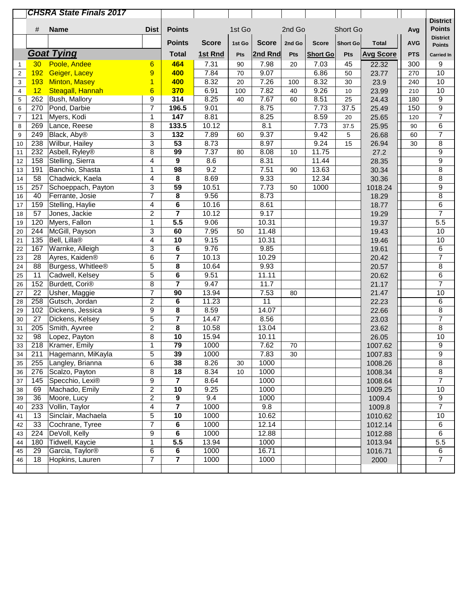|                              |                 | <b>CHSRA State Finals 2017</b>        |                |                         |                  |          |              |        |                 |                 |                  |            |                                  |
|------------------------------|-----------------|---------------------------------------|----------------|-------------------------|------------------|----------|--------------|--------|-----------------|-----------------|------------------|------------|----------------------------------|
|                              |                 |                                       |                |                         |                  |          |              |        |                 |                 |                  |            | <b>District</b>                  |
|                              | #               | <b>Name</b>                           | <b>Dist</b>    | <b>Points</b>           |                  | 1st Go   |              | 2nd Go |                 | Short Go        |                  | Avg        | <b>Points</b>                    |
|                              |                 |                                       |                | <b>Points</b>           | <b>Score</b>     | 1st Go   | <b>Score</b> | 2nd Go | <b>Score</b>    | <b>Short Go</b> | <b>Total</b>     | <b>AVG</b> | <b>District</b><br><b>Points</b> |
|                              |                 | <b>Goat Tying</b>                     |                | <b>Total</b>            | 1st Rnd          | Pts      | 2nd Rnd      | Pts    | <b>Short Go</b> | Pts             | <b>Avg Score</b> | <b>PTS</b> | <b>Carried In</b>                |
|                              | 30              | Poole, Andee                          |                | 464                     | 7.31             |          | 7.98         |        |                 |                 |                  | 300        |                                  |
| $\mathbf 1$                  | 192             |                                       | 6<br>9         | 400                     | 7.84             | 90<br>70 | 9.07         | 20     | 7.03<br>6.86    | 45              | 22.32            |            | 9<br>10                          |
| $\overline{2}$               | 193             | Geiger, Lacey<br><b>Minton, Masey</b> | $\overline{1}$ | 400                     | 8.32             | 20       | 7.26         | 100    | 8.32            | 50<br>30        | 23.77<br>23.9    | 270<br>240 | 10                               |
| 3<br>$\overline{\mathbf{4}}$ | 12              | Steagall, Hannah                      | 6              | 370                     | 6.91             | 100      | 7.82         | 40     | 9.26            | 10              | 23.99            | 210        | 10                               |
| 5                            | 262             | <b>Bush, Mallory</b>                  | 9              | 314                     | 8.25             | 40       | 7.67         | 60     | 8.51            | 25              | 24.43            | 180        | $\boldsymbol{9}$                 |
| 6                            | 270             | Pond, Darbie                          | $\overline{7}$ | 196.5                   | 9.01             |          | 8.75         |        | 7.73            | 37.5            | 25.49            | 150        | $\overline{9}$                   |
| $\overline{7}$               | 121             | Myers, Kodi                           | 1              | 147                     | 8.81             |          | 8.25         |        | 8.59            | 20              | 25.65            | 120        | $\overline{7}$                   |
| 8                            | 269             | Lance, Reese                          | 8              | 133.5                   | 10.12            |          | 8.1          |        | 7.73            | 37.5            | 25.95            | 90         | $\overline{6}$                   |
| 9                            | 249             | Black, Aby <sup>®</sup>               | 3              | $\overline{132}$        | 7.89             | 60       | 9.37         |        | 9.42            | 5               | 26.68            | 60         | $\overline{7}$                   |
| 10                           | 238             | Wilbur, Hailey                        | $\overline{3}$ | 53                      | 8.73             |          | 8.97         |        | 9.24            | 15              | 26.94            | 30         | $\overline{8}$                   |
| 11                           | 232             | Asbell, Ryley®                        | 8              | 99                      | 7.37             | 80       | 8.08         | 10     | 11.75           |                 | 27.2             |            | $\overline{9}$                   |
| 12                           | 158             | Stelling, Sierra                      | 4              | 9                       | 8.6              |          | 8.31         |        | 11.44           |                 | 28.35            |            | $\overline{9}$                   |
| 13                           | 191             | Banchio, Shasta                       | $\mathbf{1}$   | 98                      | $\overline{9.2}$ |          | 7.51         | 90     | 13.63           |                 | 30.34            |            | $\overline{8}$                   |
| 14                           | 58              | Chadwick, Kaela                       | $\overline{4}$ | 8                       | 8.69             |          | 9.33         |        | 12.34           |                 | 30.36            |            | 8                                |
| 15                           | 257             | Schoeppach, Payton                    | 3              | 59                      | 10.51            |          | 7.73         | 50     | 1000            |                 | 1018.24          |            | $\boldsymbol{9}$                 |
| 16                           | 40              | Ferrante, Josie                       | $\overline{7}$ | 8                       | 9.56             |          | 8.73         |        |                 |                 | 18.29            |            | $\overline{8}$                   |
| 17                           | 159             | Stelling, Haylie                      | 4              | 6                       | 10.16            |          | 8.61         |        |                 |                 | 18.77            |            | 6                                |
| 18                           | 57              | Jones, Jackie                         | $\overline{c}$ | $\overline{7}$          | 10.12            |          | 9.17         |        |                 |                 | 19.29            |            | $\overline{7}$                   |
| 19                           | 120             | Myers, Fallon                         | 1              | 5.5                     | 9.06             |          | 10.31        |        |                 |                 | 19.37            |            | 5.5                              |
| 20                           | 244             | McGill, Payson                        | 3              | 60                      | 7.95             | 50       | 11.48        |        |                 |                 | 19.43            |            | $10$                             |
| 21                           | 135             | Bell, Lilla <sup>®</sup>              | $\overline{4}$ | 10                      | 9.15             |          | 10.31        |        |                 |                 | 19.46            |            | 10                               |
| 22                           | 167             | Warnke, Alleigh                       | 3              | 6                       | 9.76             |          | 9.85         |        |                 |                 | 19.61            |            | 6                                |
| 23                           | 28              | Ayres, Kaiden®                        | 6              | $\overline{\mathbf{7}}$ | 10.13            |          | 10.29        |        |                 |                 | 20.42            |            | $\overline{7}$                   |
| 24                           | 88              | Burgess, Whitlee®                     | 5              | 8                       | 10.64            |          | 9.93         |        |                 |                 | 20.57            |            | $\overline{8}$                   |
| 25                           | 11              | Cadwell, Kelsey                       | $\overline{5}$ | 6                       | 9.51             |          | 11.11        |        |                 |                 | 20.62            |            | 6                                |
| 26                           | 152             | Burdett, Cori <sup>®</sup>            | 8              | $\overline{7}$          | 9.47             |          | 11.7         |        |                 |                 | 21.17            |            | $\overline{7}$                   |
| 27                           | $\overline{22}$ | Usher, Maggie                         | $\overline{7}$ | $\overline{90}$         | 13.94            |          | 7.53         | 80     |                 |                 | 21.47            |            | 10                               |
| 28                           | 258             | Gutsch, Jordan                        | $\overline{2}$ | 6                       | 11.23            |          | 11           |        |                 |                 | 22.23            |            | 6                                |
| 29                           | 102             | Dickens, Jessica                      | 9              | 8                       | 8.59             |          | 14.07        |        |                 |                 | 22.66            |            | 8                                |
| 30                           | 27              | Dickens, Kelsey                       | 5              | 7                       | 14.47            |          | 8.56         |        |                 |                 | 23.03            |            | 7                                |
| 31                           | 205             | Smith, Ayvree                         | $\overline{2}$ | 8                       | 10.58            |          | 13.04        |        |                 |                 | 23.62            |            | $\overline{8}$                   |
| 32                           | 98              | Lopez, Payton                         | 8              | 10                      | 15.94            |          | 10.11        |        |                 |                 | 26.05            |            | 10                               |
| 33                           |                 | 218   Kramer, Emily                   | 1              | 79                      | 1000             |          | 7.62         | 70     |                 |                 | 1007.62          |            | $\boldsymbol{9}$                 |
| 34                           | 211             | Hagemann, MiKayla                     | 5              | 39                      | 1000             |          | 7.83         | 30     |                 |                 | 1007.83          |            | $\boldsymbol{9}$                 |
| 35                           | 255             | Langley, Brianna                      | 6              | 38                      | 8.26             | 30       | 1000         |        |                 |                 | 1008.26          |            | $\overline{8}$                   |
| 36                           | 276             | Scalzo, Payton                        | 8              | 18                      | 8.34             | 10       | 1000         |        |                 |                 | 1008.34          |            | $\overline{\bf 8}$               |
| 37                           | 145             | Specchio, Lexi®                       | 9              | $\overline{\mathbf{7}}$ | 8.64             |          | 1000         |        |                 |                 | 1008.64          |            | $\overline{7}$                   |
| 38                           | 69              | Machado, Emily                        | $\overline{2}$ | $\overline{10}$         | 9.25             |          | 1000         |        |                 |                 | 1009.25          |            | 10                               |
| 39                           | 36              | Moore, Lucy                           | $\overline{2}$ | 9                       | 9.4              |          | 1000         |        |                 |                 | 1009.4           |            | 9                                |
| 40                           | 233             | Vollin, Taylor                        | 4              | $\overline{7}$          | 1000             |          | 9.8          |        |                 |                 | 1009.8           |            | $\overline{7}$                   |
| 41                           | 13              | Sinclair, Machaela                    | 5              | 10                      | 1000             |          | 10.62        |        |                 |                 | 1010.62          |            | 10                               |
| 42                           | 33              | Cochrane, Tyree                       | 7              | 6                       | 1000             |          | 12.14        |        |                 |                 | 1012.14          |            | $\,6\,$                          |
| 43                           | 224             | DeVoll, Kelly                         | 9              | 6                       | 1000             |          | 12.88        |        |                 |                 | 1012.88          |            | 6                                |
| 44                           | 180             | Tidwell, Kaycie                       | $\mathbf{1}$   | 5.5                     | 13.94            |          | 1000         |        |                 |                 | 1013.94          |            | 5.5                              |
| 45                           | 29              | Garcia, Taylor <sup>®</sup>           | 6              | 6                       | 1000             |          | 16.71        |        |                 |                 | 1016.71          |            | 6                                |
| 46                           | 18              | Hopkins, Lauren                       | $\overline{7}$ | $\overline{7}$          | 1000             |          | 1000         |        |                 |                 | 2000             |            | $\overline{7}$                   |
|                              |                 |                                       |                |                         |                  |          |              |        |                 |                 |                  |            |                                  |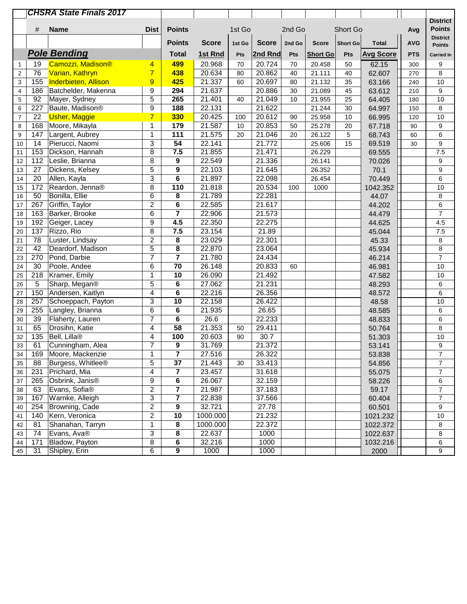| <b>Dist</b><br><b>Points</b><br><b>Points</b><br>#<br><b>Name</b><br>1st Go<br>2nd Go<br>Short Go<br>Avg<br><b>District</b><br><b>Points</b><br><b>Score</b><br><b>Score</b><br><b>Score</b><br><b>AVG</b><br>1st Go<br>2nd Go<br><b>Short Go</b><br><b>Total</b><br><b>Points</b><br><b>Pole Bending</b><br><b>Total</b><br>1st Rnd<br>2nd Rnd<br><b>Avg Score</b><br>Pts<br><b>Short Go</b><br>Pts<br><b>PTS</b><br>Pts<br>Camozzi, Madison®<br>499<br>20.968<br>20.724<br>19<br>70<br>70<br>9<br>20.458<br>50<br>62.15<br>300<br>4<br>$\mathbf{1}$<br>$\overline{7}$<br>20.634<br>20.862<br>76<br>Varian, Kathryn<br>438<br>8<br>80<br>40<br>21.111<br>62.607<br>$\sqrt{2}$<br>40<br>270<br>21.337<br>20.697<br>155<br>Inderbieten, Allison<br>9<br>425<br>3<br>60<br>80<br>21.132<br>35<br>63.166<br>10<br>240<br>186<br>9<br>294<br>21.637<br>20.886<br>9<br>Batchelder, Makenna<br>30<br>21.089<br>$\overline{4}$<br>45<br>63.612<br>210<br>5<br>265<br>92<br>Mayer, Sydney<br>21.401<br>21.049<br>10<br>40<br>10<br>21.955<br>25<br>64.405<br>5<br>180<br>9<br>22.131<br>21.622<br>227<br>Baute, Madison <sup>®</sup><br>188<br>21.244<br>64.997<br>8<br>30<br>6<br>150<br>330<br>22<br><b>Usher, Maggie</b><br>$\overline{7}$<br>20.425<br>20.612<br>25.958<br>66.995<br>10<br>$\overline{7}$<br>100<br>90<br>10<br>120<br>168<br>21.587<br>20.853<br>Moore, Mikayla<br>179<br>25.278<br>9<br>8<br>1<br>10<br>50<br>20<br>67.718<br>90<br>$\overline{111}$<br>147<br>$\mathbf{1}$<br>21.575<br>21.046<br>6<br>$\boldsymbol{9}$<br>Largent, Aubrey<br>26.122<br>5<br>68.743<br>20<br>20<br>60<br>54<br>3<br>21.772<br>$\boldsymbol{9}$<br>14<br>Pierucci, Naomi<br>22.141<br>10<br>25.606<br>15<br>69.519<br>30<br>153<br>8<br>7.5<br>21.855<br>7.5<br>Dickson, Hannah<br>21.471<br>11<br>26.229<br>69.555<br>8<br>22.549<br>21.336<br>112<br>Leslie, Brianna<br>9<br>12<br>26.141<br>9<br>70.026<br>5<br>9<br>22.103<br>$\boldsymbol{9}$<br>27<br>Dickens, Kelsey<br>21.645<br>26.352<br>13<br>70.1<br>3<br>6<br>21.897<br>22.098<br>6<br>20<br>Allen, Kayla<br>26.454<br>70.449<br>14<br>172<br>110<br>21.818<br>20.534<br>Reardon, Jenna®<br>8<br>1000<br>10<br>15<br>100<br>1042.352<br>50<br>Bonilla, Ellie<br>8<br>21.789<br>6<br>22.281<br>8<br>16<br>44.07<br>267<br>$\overline{2}$<br>6<br>Griffin, Taylor<br>22.585<br>21.617<br>17<br>44.202<br>6<br>$\overline{7}$<br>22.906<br>$\overline{7}$<br>163<br>Barker, Brooke<br>6<br>21.573<br>18<br>44.479<br>9<br>4.5<br>22.350<br>22.275<br>192<br>Geiger, Lacey<br>19<br>4.5<br>44.625<br>8<br>7.5<br>23.154<br>137<br>Rizzo, Rio<br>21.89<br>20<br>45.044<br>7.5<br>$\overline{c}$<br>78<br>Luster, Lindsay<br>8<br>23.029<br>22.301<br>21<br>45.33<br>8<br>5<br>8<br>22.870<br>42<br>Deardorf, Madison<br>23.064<br>8<br>22<br>45.934<br>$\overline{7}$<br>$\overline{7}$<br>$\overline{7}$<br>270<br>21.780<br>Pond, Darbie<br>24.434<br>23<br>46.214<br>$\overline{70}$<br>30<br>26.148<br>20.833<br>24<br>Poole, Andee<br>6<br>10<br>46.981<br>60<br>218<br>10<br>26.090<br>25<br>Kramer, Emily<br>1<br>21.492<br>10<br>47.582<br>5<br>$\bf 6$<br>27.062<br>21.231<br>5<br>Sharp, Megan®<br>26<br>6<br>48.293<br>22.216<br>150<br>6<br>26.356<br>Andersen, Kaitlyn<br>4<br>6<br>27<br>48.572<br>22.158<br>26.422<br>257<br>Schoeppach, Payton<br>3<br>10<br>28<br>48.58<br>10<br>6<br>255<br>Langley, Brianna<br>6<br>21.935<br>26.65<br>29<br>48.585<br>6<br>26.6<br>22.233<br>39<br>7<br>6<br>30<br>Flaherty, Lauren<br>6<br>48.833<br>65<br>$\overline{58}$<br>21.353<br>29.411<br>31<br>Drosihn, Katie<br>4<br>8<br>50.764<br>50<br>135<br>30.7<br>32<br>Bell, Lilla <sup>®</sup><br>100<br>20.603<br>10<br>4<br>90<br>51.303<br>61<br>Cunningham, Alea<br>7<br>9<br>31.769<br>21.372<br>9<br>53.141<br>33<br>$\overline{7}$<br>26.322<br>$\overline{7}$<br>Moore, Mackenzie<br>1<br>27.516<br>34<br>169<br>53.838<br>5<br>$\overline{37}$<br>$\overline{7}$<br>88<br>Burgess, Whitlee®<br>21.443<br>33.413<br>54.856<br>35<br>30<br>Prichard, Mia<br>$\overline{7}$<br>231<br>4<br>$\overline{\mathbf{r}}$<br>23.457<br>31.618<br>55.075<br>36<br>9<br>6<br>265<br>Osbrink, Janis <sup>®</sup><br>26.067<br>32.159<br>6<br>37<br>58.226<br>$\overline{c}$<br>$\overline{\mathbf{7}}$<br>$\overline{7}$<br>Evans, Sofia®<br>21.987<br>37.183<br>63<br>59.17<br>38<br>$\overline{\mathbf{7}}$<br>$\overline{7}$<br>3<br>Warnke, Alleigh<br>22.838<br>37.566<br>167<br>60.404<br>39<br>$\overline{9}$<br>$\overline{c}$<br>32.721<br>27.78<br>254<br>Browning, Cade<br>9<br>60.501<br>40<br>$\overline{c}$<br>10<br>140<br>Kern, Veronica<br>1000.000<br>21.232<br>10<br>41<br>1021.232<br>8<br>Shanahan, Tarryn<br>$\mathbf 1$<br>1000.000<br>22.372<br>81<br>1022.372<br>8<br>42<br>3<br>Evans, Ava®<br>$\bf 8$<br>22.637<br>1000<br>74<br>1022.637<br>8<br>43<br>Bladow, Payton<br>8<br>6<br>32.216<br>1000<br>171<br>1032.216<br>6<br>44 |    |    | <b>CHSRA State Finals 2017</b> |   |   |      |      |  |      |                   |
|-----------------------------------------------------------------------------------------------------------------------------------------------------------------------------------------------------------------------------------------------------------------------------------------------------------------------------------------------------------------------------------------------------------------------------------------------------------------------------------------------------------------------------------------------------------------------------------------------------------------------------------------------------------------------------------------------------------------------------------------------------------------------------------------------------------------------------------------------------------------------------------------------------------------------------------------------------------------------------------------------------------------------------------------------------------------------------------------------------------------------------------------------------------------------------------------------------------------------------------------------------------------------------------------------------------------------------------------------------------------------------------------------------------------------------------------------------------------------------------------------------------------------------------------------------------------------------------------------------------------------------------------------------------------------------------------------------------------------------------------------------------------------------------------------------------------------------------------------------------------------------------------------------------------------------------------------------------------------------------------------------------------------------------------------------------------------------------------------------------------------------------------------------------------------------------------------------------------------------------------------------------------------------------------------------------------------------------------------------------------------------------------------------------------------------------------------------------------------------------------------------------------------------------------------------------------------------------------------------------------------------------------------------------------------------------------------------------------------------------------------------------------------------------------------------------------------------------------------------------------------------------------------------------------------------------------------------------------------------------------------------------------------------------------------------------------------------------------------------------------------------------------------------------------------------------------------------------------------------------------------------------------------------------------------------------------------------------------------------------------------------------------------------------------------------------------------------------------------------------------------------------------------------------------------------------------------------------------------------------------------------------------------------------------------------------------------------------------------------------------------------------------------------------------------------------------------------------------------------------------------------------------------------------------------------------------------------------------------------------------------------------------------------------------------------------------------------------------------------------------------------------------------------------------------------------------------------------------------------------------------------------------------------------------------------------------------------------------------------------------------------------------------------------------------------------------------------------------------------------------------------------------------------------------------------------------------------------------------------------------------------------------------------------------------------------------------------------------------------------------------------------------------------------------------------------------------------------------------------------------------------------------------------------------------|----|----|--------------------------------|---|---|------|------|--|------|-------------------|
|                                                                                                                                                                                                                                                                                                                                                                                                                                                                                                                                                                                                                                                                                                                                                                                                                                                                                                                                                                                                                                                                                                                                                                                                                                                                                                                                                                                                                                                                                                                                                                                                                                                                                                                                                                                                                                                                                                                                                                                                                                                                                                                                                                                                                                                                                                                                                                                                                                                                                                                                                                                                                                                                                                                                                                                                                                                                                                                                                                                                                                                                                                                                                                                                                                                                                                                                                                                                                                                                                                                                                                                                                                                                                                                                                                                                                                                                                                                                                                                                                                                                                                                                                                                                                                                                                                                                                                                                                                                                                                                                                                                                                                                                                                                                                                                                                                                                                                                       |    |    |                                |   |   |      |      |  |      | <b>District</b>   |
|                                                                                                                                                                                                                                                                                                                                                                                                                                                                                                                                                                                                                                                                                                                                                                                                                                                                                                                                                                                                                                                                                                                                                                                                                                                                                                                                                                                                                                                                                                                                                                                                                                                                                                                                                                                                                                                                                                                                                                                                                                                                                                                                                                                                                                                                                                                                                                                                                                                                                                                                                                                                                                                                                                                                                                                                                                                                                                                                                                                                                                                                                                                                                                                                                                                                                                                                                                                                                                                                                                                                                                                                                                                                                                                                                                                                                                                                                                                                                                                                                                                                                                                                                                                                                                                                                                                                                                                                                                                                                                                                                                                                                                                                                                                                                                                                                                                                                                                       |    |    |                                |   |   |      |      |  |      |                   |
|                                                                                                                                                                                                                                                                                                                                                                                                                                                                                                                                                                                                                                                                                                                                                                                                                                                                                                                                                                                                                                                                                                                                                                                                                                                                                                                                                                                                                                                                                                                                                                                                                                                                                                                                                                                                                                                                                                                                                                                                                                                                                                                                                                                                                                                                                                                                                                                                                                                                                                                                                                                                                                                                                                                                                                                                                                                                                                                                                                                                                                                                                                                                                                                                                                                                                                                                                                                                                                                                                                                                                                                                                                                                                                                                                                                                                                                                                                                                                                                                                                                                                                                                                                                                                                                                                                                                                                                                                                                                                                                                                                                                                                                                                                                                                                                                                                                                                                                       |    |    |                                |   |   |      |      |  |      |                   |
|                                                                                                                                                                                                                                                                                                                                                                                                                                                                                                                                                                                                                                                                                                                                                                                                                                                                                                                                                                                                                                                                                                                                                                                                                                                                                                                                                                                                                                                                                                                                                                                                                                                                                                                                                                                                                                                                                                                                                                                                                                                                                                                                                                                                                                                                                                                                                                                                                                                                                                                                                                                                                                                                                                                                                                                                                                                                                                                                                                                                                                                                                                                                                                                                                                                                                                                                                                                                                                                                                                                                                                                                                                                                                                                                                                                                                                                                                                                                                                                                                                                                                                                                                                                                                                                                                                                                                                                                                                                                                                                                                                                                                                                                                                                                                                                                                                                                                                                       |    |    |                                |   |   |      |      |  |      | <b>Carried In</b> |
|                                                                                                                                                                                                                                                                                                                                                                                                                                                                                                                                                                                                                                                                                                                                                                                                                                                                                                                                                                                                                                                                                                                                                                                                                                                                                                                                                                                                                                                                                                                                                                                                                                                                                                                                                                                                                                                                                                                                                                                                                                                                                                                                                                                                                                                                                                                                                                                                                                                                                                                                                                                                                                                                                                                                                                                                                                                                                                                                                                                                                                                                                                                                                                                                                                                                                                                                                                                                                                                                                                                                                                                                                                                                                                                                                                                                                                                                                                                                                                                                                                                                                                                                                                                                                                                                                                                                                                                                                                                                                                                                                                                                                                                                                                                                                                                                                                                                                                                       |    |    |                                |   |   |      |      |  |      |                   |
|                                                                                                                                                                                                                                                                                                                                                                                                                                                                                                                                                                                                                                                                                                                                                                                                                                                                                                                                                                                                                                                                                                                                                                                                                                                                                                                                                                                                                                                                                                                                                                                                                                                                                                                                                                                                                                                                                                                                                                                                                                                                                                                                                                                                                                                                                                                                                                                                                                                                                                                                                                                                                                                                                                                                                                                                                                                                                                                                                                                                                                                                                                                                                                                                                                                                                                                                                                                                                                                                                                                                                                                                                                                                                                                                                                                                                                                                                                                                                                                                                                                                                                                                                                                                                                                                                                                                                                                                                                                                                                                                                                                                                                                                                                                                                                                                                                                                                                                       |    |    |                                |   |   |      |      |  |      |                   |
|                                                                                                                                                                                                                                                                                                                                                                                                                                                                                                                                                                                                                                                                                                                                                                                                                                                                                                                                                                                                                                                                                                                                                                                                                                                                                                                                                                                                                                                                                                                                                                                                                                                                                                                                                                                                                                                                                                                                                                                                                                                                                                                                                                                                                                                                                                                                                                                                                                                                                                                                                                                                                                                                                                                                                                                                                                                                                                                                                                                                                                                                                                                                                                                                                                                                                                                                                                                                                                                                                                                                                                                                                                                                                                                                                                                                                                                                                                                                                                                                                                                                                                                                                                                                                                                                                                                                                                                                                                                                                                                                                                                                                                                                                                                                                                                                                                                                                                                       |    |    |                                |   |   |      |      |  |      |                   |
|                                                                                                                                                                                                                                                                                                                                                                                                                                                                                                                                                                                                                                                                                                                                                                                                                                                                                                                                                                                                                                                                                                                                                                                                                                                                                                                                                                                                                                                                                                                                                                                                                                                                                                                                                                                                                                                                                                                                                                                                                                                                                                                                                                                                                                                                                                                                                                                                                                                                                                                                                                                                                                                                                                                                                                                                                                                                                                                                                                                                                                                                                                                                                                                                                                                                                                                                                                                                                                                                                                                                                                                                                                                                                                                                                                                                                                                                                                                                                                                                                                                                                                                                                                                                                                                                                                                                                                                                                                                                                                                                                                                                                                                                                                                                                                                                                                                                                                                       |    |    |                                |   |   |      |      |  |      |                   |
|                                                                                                                                                                                                                                                                                                                                                                                                                                                                                                                                                                                                                                                                                                                                                                                                                                                                                                                                                                                                                                                                                                                                                                                                                                                                                                                                                                                                                                                                                                                                                                                                                                                                                                                                                                                                                                                                                                                                                                                                                                                                                                                                                                                                                                                                                                                                                                                                                                                                                                                                                                                                                                                                                                                                                                                                                                                                                                                                                                                                                                                                                                                                                                                                                                                                                                                                                                                                                                                                                                                                                                                                                                                                                                                                                                                                                                                                                                                                                                                                                                                                                                                                                                                                                                                                                                                                                                                                                                                                                                                                                                                                                                                                                                                                                                                                                                                                                                                       |    |    |                                |   |   |      |      |  |      |                   |
|                                                                                                                                                                                                                                                                                                                                                                                                                                                                                                                                                                                                                                                                                                                                                                                                                                                                                                                                                                                                                                                                                                                                                                                                                                                                                                                                                                                                                                                                                                                                                                                                                                                                                                                                                                                                                                                                                                                                                                                                                                                                                                                                                                                                                                                                                                                                                                                                                                                                                                                                                                                                                                                                                                                                                                                                                                                                                                                                                                                                                                                                                                                                                                                                                                                                                                                                                                                                                                                                                                                                                                                                                                                                                                                                                                                                                                                                                                                                                                                                                                                                                                                                                                                                                                                                                                                                                                                                                                                                                                                                                                                                                                                                                                                                                                                                                                                                                                                       |    |    |                                |   |   |      |      |  |      |                   |
|                                                                                                                                                                                                                                                                                                                                                                                                                                                                                                                                                                                                                                                                                                                                                                                                                                                                                                                                                                                                                                                                                                                                                                                                                                                                                                                                                                                                                                                                                                                                                                                                                                                                                                                                                                                                                                                                                                                                                                                                                                                                                                                                                                                                                                                                                                                                                                                                                                                                                                                                                                                                                                                                                                                                                                                                                                                                                                                                                                                                                                                                                                                                                                                                                                                                                                                                                                                                                                                                                                                                                                                                                                                                                                                                                                                                                                                                                                                                                                                                                                                                                                                                                                                                                                                                                                                                                                                                                                                                                                                                                                                                                                                                                                                                                                                                                                                                                                                       |    |    |                                |   |   |      |      |  |      |                   |
|                                                                                                                                                                                                                                                                                                                                                                                                                                                                                                                                                                                                                                                                                                                                                                                                                                                                                                                                                                                                                                                                                                                                                                                                                                                                                                                                                                                                                                                                                                                                                                                                                                                                                                                                                                                                                                                                                                                                                                                                                                                                                                                                                                                                                                                                                                                                                                                                                                                                                                                                                                                                                                                                                                                                                                                                                                                                                                                                                                                                                                                                                                                                                                                                                                                                                                                                                                                                                                                                                                                                                                                                                                                                                                                                                                                                                                                                                                                                                                                                                                                                                                                                                                                                                                                                                                                                                                                                                                                                                                                                                                                                                                                                                                                                                                                                                                                                                                                       |    |    |                                |   |   |      |      |  |      |                   |
|                                                                                                                                                                                                                                                                                                                                                                                                                                                                                                                                                                                                                                                                                                                                                                                                                                                                                                                                                                                                                                                                                                                                                                                                                                                                                                                                                                                                                                                                                                                                                                                                                                                                                                                                                                                                                                                                                                                                                                                                                                                                                                                                                                                                                                                                                                                                                                                                                                                                                                                                                                                                                                                                                                                                                                                                                                                                                                                                                                                                                                                                                                                                                                                                                                                                                                                                                                                                                                                                                                                                                                                                                                                                                                                                                                                                                                                                                                                                                                                                                                                                                                                                                                                                                                                                                                                                                                                                                                                                                                                                                                                                                                                                                                                                                                                                                                                                                                                       |    |    |                                |   |   |      |      |  |      |                   |
|                                                                                                                                                                                                                                                                                                                                                                                                                                                                                                                                                                                                                                                                                                                                                                                                                                                                                                                                                                                                                                                                                                                                                                                                                                                                                                                                                                                                                                                                                                                                                                                                                                                                                                                                                                                                                                                                                                                                                                                                                                                                                                                                                                                                                                                                                                                                                                                                                                                                                                                                                                                                                                                                                                                                                                                                                                                                                                                                                                                                                                                                                                                                                                                                                                                                                                                                                                                                                                                                                                                                                                                                                                                                                                                                                                                                                                                                                                                                                                                                                                                                                                                                                                                                                                                                                                                                                                                                                                                                                                                                                                                                                                                                                                                                                                                                                                                                                                                       |    |    |                                |   |   |      |      |  |      |                   |
|                                                                                                                                                                                                                                                                                                                                                                                                                                                                                                                                                                                                                                                                                                                                                                                                                                                                                                                                                                                                                                                                                                                                                                                                                                                                                                                                                                                                                                                                                                                                                                                                                                                                                                                                                                                                                                                                                                                                                                                                                                                                                                                                                                                                                                                                                                                                                                                                                                                                                                                                                                                                                                                                                                                                                                                                                                                                                                                                                                                                                                                                                                                                                                                                                                                                                                                                                                                                                                                                                                                                                                                                                                                                                                                                                                                                                                                                                                                                                                                                                                                                                                                                                                                                                                                                                                                                                                                                                                                                                                                                                                                                                                                                                                                                                                                                                                                                                                                       |    |    |                                |   |   |      |      |  |      |                   |
|                                                                                                                                                                                                                                                                                                                                                                                                                                                                                                                                                                                                                                                                                                                                                                                                                                                                                                                                                                                                                                                                                                                                                                                                                                                                                                                                                                                                                                                                                                                                                                                                                                                                                                                                                                                                                                                                                                                                                                                                                                                                                                                                                                                                                                                                                                                                                                                                                                                                                                                                                                                                                                                                                                                                                                                                                                                                                                                                                                                                                                                                                                                                                                                                                                                                                                                                                                                                                                                                                                                                                                                                                                                                                                                                                                                                                                                                                                                                                                                                                                                                                                                                                                                                                                                                                                                                                                                                                                                                                                                                                                                                                                                                                                                                                                                                                                                                                                                       |    |    |                                |   |   |      |      |  |      |                   |
|                                                                                                                                                                                                                                                                                                                                                                                                                                                                                                                                                                                                                                                                                                                                                                                                                                                                                                                                                                                                                                                                                                                                                                                                                                                                                                                                                                                                                                                                                                                                                                                                                                                                                                                                                                                                                                                                                                                                                                                                                                                                                                                                                                                                                                                                                                                                                                                                                                                                                                                                                                                                                                                                                                                                                                                                                                                                                                                                                                                                                                                                                                                                                                                                                                                                                                                                                                                                                                                                                                                                                                                                                                                                                                                                                                                                                                                                                                                                                                                                                                                                                                                                                                                                                                                                                                                                                                                                                                                                                                                                                                                                                                                                                                                                                                                                                                                                                                                       |    |    |                                |   |   |      |      |  |      |                   |
|                                                                                                                                                                                                                                                                                                                                                                                                                                                                                                                                                                                                                                                                                                                                                                                                                                                                                                                                                                                                                                                                                                                                                                                                                                                                                                                                                                                                                                                                                                                                                                                                                                                                                                                                                                                                                                                                                                                                                                                                                                                                                                                                                                                                                                                                                                                                                                                                                                                                                                                                                                                                                                                                                                                                                                                                                                                                                                                                                                                                                                                                                                                                                                                                                                                                                                                                                                                                                                                                                                                                                                                                                                                                                                                                                                                                                                                                                                                                                                                                                                                                                                                                                                                                                                                                                                                                                                                                                                                                                                                                                                                                                                                                                                                                                                                                                                                                                                                       |    |    |                                |   |   |      |      |  |      |                   |
|                                                                                                                                                                                                                                                                                                                                                                                                                                                                                                                                                                                                                                                                                                                                                                                                                                                                                                                                                                                                                                                                                                                                                                                                                                                                                                                                                                                                                                                                                                                                                                                                                                                                                                                                                                                                                                                                                                                                                                                                                                                                                                                                                                                                                                                                                                                                                                                                                                                                                                                                                                                                                                                                                                                                                                                                                                                                                                                                                                                                                                                                                                                                                                                                                                                                                                                                                                                                                                                                                                                                                                                                                                                                                                                                                                                                                                                                                                                                                                                                                                                                                                                                                                                                                                                                                                                                                                                                                                                                                                                                                                                                                                                                                                                                                                                                                                                                                                                       |    |    |                                |   |   |      |      |  |      |                   |
|                                                                                                                                                                                                                                                                                                                                                                                                                                                                                                                                                                                                                                                                                                                                                                                                                                                                                                                                                                                                                                                                                                                                                                                                                                                                                                                                                                                                                                                                                                                                                                                                                                                                                                                                                                                                                                                                                                                                                                                                                                                                                                                                                                                                                                                                                                                                                                                                                                                                                                                                                                                                                                                                                                                                                                                                                                                                                                                                                                                                                                                                                                                                                                                                                                                                                                                                                                                                                                                                                                                                                                                                                                                                                                                                                                                                                                                                                                                                                                                                                                                                                                                                                                                                                                                                                                                                                                                                                                                                                                                                                                                                                                                                                                                                                                                                                                                                                                                       |    |    |                                |   |   |      |      |  |      |                   |
|                                                                                                                                                                                                                                                                                                                                                                                                                                                                                                                                                                                                                                                                                                                                                                                                                                                                                                                                                                                                                                                                                                                                                                                                                                                                                                                                                                                                                                                                                                                                                                                                                                                                                                                                                                                                                                                                                                                                                                                                                                                                                                                                                                                                                                                                                                                                                                                                                                                                                                                                                                                                                                                                                                                                                                                                                                                                                                                                                                                                                                                                                                                                                                                                                                                                                                                                                                                                                                                                                                                                                                                                                                                                                                                                                                                                                                                                                                                                                                                                                                                                                                                                                                                                                                                                                                                                                                                                                                                                                                                                                                                                                                                                                                                                                                                                                                                                                                                       |    |    |                                |   |   |      |      |  |      |                   |
|                                                                                                                                                                                                                                                                                                                                                                                                                                                                                                                                                                                                                                                                                                                                                                                                                                                                                                                                                                                                                                                                                                                                                                                                                                                                                                                                                                                                                                                                                                                                                                                                                                                                                                                                                                                                                                                                                                                                                                                                                                                                                                                                                                                                                                                                                                                                                                                                                                                                                                                                                                                                                                                                                                                                                                                                                                                                                                                                                                                                                                                                                                                                                                                                                                                                                                                                                                                                                                                                                                                                                                                                                                                                                                                                                                                                                                                                                                                                                                                                                                                                                                                                                                                                                                                                                                                                                                                                                                                                                                                                                                                                                                                                                                                                                                                                                                                                                                                       |    |    |                                |   |   |      |      |  |      |                   |
|                                                                                                                                                                                                                                                                                                                                                                                                                                                                                                                                                                                                                                                                                                                                                                                                                                                                                                                                                                                                                                                                                                                                                                                                                                                                                                                                                                                                                                                                                                                                                                                                                                                                                                                                                                                                                                                                                                                                                                                                                                                                                                                                                                                                                                                                                                                                                                                                                                                                                                                                                                                                                                                                                                                                                                                                                                                                                                                                                                                                                                                                                                                                                                                                                                                                                                                                                                                                                                                                                                                                                                                                                                                                                                                                                                                                                                                                                                                                                                                                                                                                                                                                                                                                                                                                                                                                                                                                                                                                                                                                                                                                                                                                                                                                                                                                                                                                                                                       |    |    |                                |   |   |      |      |  |      |                   |
|                                                                                                                                                                                                                                                                                                                                                                                                                                                                                                                                                                                                                                                                                                                                                                                                                                                                                                                                                                                                                                                                                                                                                                                                                                                                                                                                                                                                                                                                                                                                                                                                                                                                                                                                                                                                                                                                                                                                                                                                                                                                                                                                                                                                                                                                                                                                                                                                                                                                                                                                                                                                                                                                                                                                                                                                                                                                                                                                                                                                                                                                                                                                                                                                                                                                                                                                                                                                                                                                                                                                                                                                                                                                                                                                                                                                                                                                                                                                                                                                                                                                                                                                                                                                                                                                                                                                                                                                                                                                                                                                                                                                                                                                                                                                                                                                                                                                                                                       |    |    |                                |   |   |      |      |  |      |                   |
|                                                                                                                                                                                                                                                                                                                                                                                                                                                                                                                                                                                                                                                                                                                                                                                                                                                                                                                                                                                                                                                                                                                                                                                                                                                                                                                                                                                                                                                                                                                                                                                                                                                                                                                                                                                                                                                                                                                                                                                                                                                                                                                                                                                                                                                                                                                                                                                                                                                                                                                                                                                                                                                                                                                                                                                                                                                                                                                                                                                                                                                                                                                                                                                                                                                                                                                                                                                                                                                                                                                                                                                                                                                                                                                                                                                                                                                                                                                                                                                                                                                                                                                                                                                                                                                                                                                                                                                                                                                                                                                                                                                                                                                                                                                                                                                                                                                                                                                       |    |    |                                |   |   |      |      |  |      |                   |
|                                                                                                                                                                                                                                                                                                                                                                                                                                                                                                                                                                                                                                                                                                                                                                                                                                                                                                                                                                                                                                                                                                                                                                                                                                                                                                                                                                                                                                                                                                                                                                                                                                                                                                                                                                                                                                                                                                                                                                                                                                                                                                                                                                                                                                                                                                                                                                                                                                                                                                                                                                                                                                                                                                                                                                                                                                                                                                                                                                                                                                                                                                                                                                                                                                                                                                                                                                                                                                                                                                                                                                                                                                                                                                                                                                                                                                                                                                                                                                                                                                                                                                                                                                                                                                                                                                                                                                                                                                                                                                                                                                                                                                                                                                                                                                                                                                                                                                                       |    |    |                                |   |   |      |      |  |      |                   |
|                                                                                                                                                                                                                                                                                                                                                                                                                                                                                                                                                                                                                                                                                                                                                                                                                                                                                                                                                                                                                                                                                                                                                                                                                                                                                                                                                                                                                                                                                                                                                                                                                                                                                                                                                                                                                                                                                                                                                                                                                                                                                                                                                                                                                                                                                                                                                                                                                                                                                                                                                                                                                                                                                                                                                                                                                                                                                                                                                                                                                                                                                                                                                                                                                                                                                                                                                                                                                                                                                                                                                                                                                                                                                                                                                                                                                                                                                                                                                                                                                                                                                                                                                                                                                                                                                                                                                                                                                                                                                                                                                                                                                                                                                                                                                                                                                                                                                                                       |    |    |                                |   |   |      |      |  |      |                   |
|                                                                                                                                                                                                                                                                                                                                                                                                                                                                                                                                                                                                                                                                                                                                                                                                                                                                                                                                                                                                                                                                                                                                                                                                                                                                                                                                                                                                                                                                                                                                                                                                                                                                                                                                                                                                                                                                                                                                                                                                                                                                                                                                                                                                                                                                                                                                                                                                                                                                                                                                                                                                                                                                                                                                                                                                                                                                                                                                                                                                                                                                                                                                                                                                                                                                                                                                                                                                                                                                                                                                                                                                                                                                                                                                                                                                                                                                                                                                                                                                                                                                                                                                                                                                                                                                                                                                                                                                                                                                                                                                                                                                                                                                                                                                                                                                                                                                                                                       |    |    |                                |   |   |      |      |  |      |                   |
|                                                                                                                                                                                                                                                                                                                                                                                                                                                                                                                                                                                                                                                                                                                                                                                                                                                                                                                                                                                                                                                                                                                                                                                                                                                                                                                                                                                                                                                                                                                                                                                                                                                                                                                                                                                                                                                                                                                                                                                                                                                                                                                                                                                                                                                                                                                                                                                                                                                                                                                                                                                                                                                                                                                                                                                                                                                                                                                                                                                                                                                                                                                                                                                                                                                                                                                                                                                                                                                                                                                                                                                                                                                                                                                                                                                                                                                                                                                                                                                                                                                                                                                                                                                                                                                                                                                                                                                                                                                                                                                                                                                                                                                                                                                                                                                                                                                                                                                       |    |    |                                |   |   |      |      |  |      |                   |
|                                                                                                                                                                                                                                                                                                                                                                                                                                                                                                                                                                                                                                                                                                                                                                                                                                                                                                                                                                                                                                                                                                                                                                                                                                                                                                                                                                                                                                                                                                                                                                                                                                                                                                                                                                                                                                                                                                                                                                                                                                                                                                                                                                                                                                                                                                                                                                                                                                                                                                                                                                                                                                                                                                                                                                                                                                                                                                                                                                                                                                                                                                                                                                                                                                                                                                                                                                                                                                                                                                                                                                                                                                                                                                                                                                                                                                                                                                                                                                                                                                                                                                                                                                                                                                                                                                                                                                                                                                                                                                                                                                                                                                                                                                                                                                                                                                                                                                                       |    |    |                                |   |   |      |      |  |      |                   |
|                                                                                                                                                                                                                                                                                                                                                                                                                                                                                                                                                                                                                                                                                                                                                                                                                                                                                                                                                                                                                                                                                                                                                                                                                                                                                                                                                                                                                                                                                                                                                                                                                                                                                                                                                                                                                                                                                                                                                                                                                                                                                                                                                                                                                                                                                                                                                                                                                                                                                                                                                                                                                                                                                                                                                                                                                                                                                                                                                                                                                                                                                                                                                                                                                                                                                                                                                                                                                                                                                                                                                                                                                                                                                                                                                                                                                                                                                                                                                                                                                                                                                                                                                                                                                                                                                                                                                                                                                                                                                                                                                                                                                                                                                                                                                                                                                                                                                                                       |    |    |                                |   |   |      |      |  |      |                   |
|                                                                                                                                                                                                                                                                                                                                                                                                                                                                                                                                                                                                                                                                                                                                                                                                                                                                                                                                                                                                                                                                                                                                                                                                                                                                                                                                                                                                                                                                                                                                                                                                                                                                                                                                                                                                                                                                                                                                                                                                                                                                                                                                                                                                                                                                                                                                                                                                                                                                                                                                                                                                                                                                                                                                                                                                                                                                                                                                                                                                                                                                                                                                                                                                                                                                                                                                                                                                                                                                                                                                                                                                                                                                                                                                                                                                                                                                                                                                                                                                                                                                                                                                                                                                                                                                                                                                                                                                                                                                                                                                                                                                                                                                                                                                                                                                                                                                                                                       |    |    |                                |   |   |      |      |  |      |                   |
|                                                                                                                                                                                                                                                                                                                                                                                                                                                                                                                                                                                                                                                                                                                                                                                                                                                                                                                                                                                                                                                                                                                                                                                                                                                                                                                                                                                                                                                                                                                                                                                                                                                                                                                                                                                                                                                                                                                                                                                                                                                                                                                                                                                                                                                                                                                                                                                                                                                                                                                                                                                                                                                                                                                                                                                                                                                                                                                                                                                                                                                                                                                                                                                                                                                                                                                                                                                                                                                                                                                                                                                                                                                                                                                                                                                                                                                                                                                                                                                                                                                                                                                                                                                                                                                                                                                                                                                                                                                                                                                                                                                                                                                                                                                                                                                                                                                                                                                       |    |    |                                |   |   |      |      |  |      |                   |
|                                                                                                                                                                                                                                                                                                                                                                                                                                                                                                                                                                                                                                                                                                                                                                                                                                                                                                                                                                                                                                                                                                                                                                                                                                                                                                                                                                                                                                                                                                                                                                                                                                                                                                                                                                                                                                                                                                                                                                                                                                                                                                                                                                                                                                                                                                                                                                                                                                                                                                                                                                                                                                                                                                                                                                                                                                                                                                                                                                                                                                                                                                                                                                                                                                                                                                                                                                                                                                                                                                                                                                                                                                                                                                                                                                                                                                                                                                                                                                                                                                                                                                                                                                                                                                                                                                                                                                                                                                                                                                                                                                                                                                                                                                                                                                                                                                                                                                                       |    |    |                                |   |   |      |      |  |      |                   |
|                                                                                                                                                                                                                                                                                                                                                                                                                                                                                                                                                                                                                                                                                                                                                                                                                                                                                                                                                                                                                                                                                                                                                                                                                                                                                                                                                                                                                                                                                                                                                                                                                                                                                                                                                                                                                                                                                                                                                                                                                                                                                                                                                                                                                                                                                                                                                                                                                                                                                                                                                                                                                                                                                                                                                                                                                                                                                                                                                                                                                                                                                                                                                                                                                                                                                                                                                                                                                                                                                                                                                                                                                                                                                                                                                                                                                                                                                                                                                                                                                                                                                                                                                                                                                                                                                                                                                                                                                                                                                                                                                                                                                                                                                                                                                                                                                                                                                                                       |    |    |                                |   |   |      |      |  |      |                   |
|                                                                                                                                                                                                                                                                                                                                                                                                                                                                                                                                                                                                                                                                                                                                                                                                                                                                                                                                                                                                                                                                                                                                                                                                                                                                                                                                                                                                                                                                                                                                                                                                                                                                                                                                                                                                                                                                                                                                                                                                                                                                                                                                                                                                                                                                                                                                                                                                                                                                                                                                                                                                                                                                                                                                                                                                                                                                                                                                                                                                                                                                                                                                                                                                                                                                                                                                                                                                                                                                                                                                                                                                                                                                                                                                                                                                                                                                                                                                                                                                                                                                                                                                                                                                                                                                                                                                                                                                                                                                                                                                                                                                                                                                                                                                                                                                                                                                                                                       |    |    |                                |   |   |      |      |  |      |                   |
|                                                                                                                                                                                                                                                                                                                                                                                                                                                                                                                                                                                                                                                                                                                                                                                                                                                                                                                                                                                                                                                                                                                                                                                                                                                                                                                                                                                                                                                                                                                                                                                                                                                                                                                                                                                                                                                                                                                                                                                                                                                                                                                                                                                                                                                                                                                                                                                                                                                                                                                                                                                                                                                                                                                                                                                                                                                                                                                                                                                                                                                                                                                                                                                                                                                                                                                                                                                                                                                                                                                                                                                                                                                                                                                                                                                                                                                                                                                                                                                                                                                                                                                                                                                                                                                                                                                                                                                                                                                                                                                                                                                                                                                                                                                                                                                                                                                                                                                       |    |    |                                |   |   |      |      |  |      |                   |
|                                                                                                                                                                                                                                                                                                                                                                                                                                                                                                                                                                                                                                                                                                                                                                                                                                                                                                                                                                                                                                                                                                                                                                                                                                                                                                                                                                                                                                                                                                                                                                                                                                                                                                                                                                                                                                                                                                                                                                                                                                                                                                                                                                                                                                                                                                                                                                                                                                                                                                                                                                                                                                                                                                                                                                                                                                                                                                                                                                                                                                                                                                                                                                                                                                                                                                                                                                                                                                                                                                                                                                                                                                                                                                                                                                                                                                                                                                                                                                                                                                                                                                                                                                                                                                                                                                                                                                                                                                                                                                                                                                                                                                                                                                                                                                                                                                                                                                                       |    |    |                                |   |   |      |      |  |      |                   |
|                                                                                                                                                                                                                                                                                                                                                                                                                                                                                                                                                                                                                                                                                                                                                                                                                                                                                                                                                                                                                                                                                                                                                                                                                                                                                                                                                                                                                                                                                                                                                                                                                                                                                                                                                                                                                                                                                                                                                                                                                                                                                                                                                                                                                                                                                                                                                                                                                                                                                                                                                                                                                                                                                                                                                                                                                                                                                                                                                                                                                                                                                                                                                                                                                                                                                                                                                                                                                                                                                                                                                                                                                                                                                                                                                                                                                                                                                                                                                                                                                                                                                                                                                                                                                                                                                                                                                                                                                                                                                                                                                                                                                                                                                                                                                                                                                                                                                                                       |    |    |                                |   |   |      |      |  |      |                   |
|                                                                                                                                                                                                                                                                                                                                                                                                                                                                                                                                                                                                                                                                                                                                                                                                                                                                                                                                                                                                                                                                                                                                                                                                                                                                                                                                                                                                                                                                                                                                                                                                                                                                                                                                                                                                                                                                                                                                                                                                                                                                                                                                                                                                                                                                                                                                                                                                                                                                                                                                                                                                                                                                                                                                                                                                                                                                                                                                                                                                                                                                                                                                                                                                                                                                                                                                                                                                                                                                                                                                                                                                                                                                                                                                                                                                                                                                                                                                                                                                                                                                                                                                                                                                                                                                                                                                                                                                                                                                                                                                                                                                                                                                                                                                                                                                                                                                                                                       |    |    |                                |   |   |      |      |  |      |                   |
|                                                                                                                                                                                                                                                                                                                                                                                                                                                                                                                                                                                                                                                                                                                                                                                                                                                                                                                                                                                                                                                                                                                                                                                                                                                                                                                                                                                                                                                                                                                                                                                                                                                                                                                                                                                                                                                                                                                                                                                                                                                                                                                                                                                                                                                                                                                                                                                                                                                                                                                                                                                                                                                                                                                                                                                                                                                                                                                                                                                                                                                                                                                                                                                                                                                                                                                                                                                                                                                                                                                                                                                                                                                                                                                                                                                                                                                                                                                                                                                                                                                                                                                                                                                                                                                                                                                                                                                                                                                                                                                                                                                                                                                                                                                                                                                                                                                                                                                       |    |    |                                |   |   |      |      |  |      |                   |
|                                                                                                                                                                                                                                                                                                                                                                                                                                                                                                                                                                                                                                                                                                                                                                                                                                                                                                                                                                                                                                                                                                                                                                                                                                                                                                                                                                                                                                                                                                                                                                                                                                                                                                                                                                                                                                                                                                                                                                                                                                                                                                                                                                                                                                                                                                                                                                                                                                                                                                                                                                                                                                                                                                                                                                                                                                                                                                                                                                                                                                                                                                                                                                                                                                                                                                                                                                                                                                                                                                                                                                                                                                                                                                                                                                                                                                                                                                                                                                                                                                                                                                                                                                                                                                                                                                                                                                                                                                                                                                                                                                                                                                                                                                                                                                                                                                                                                                                       |    |    |                                |   |   |      |      |  |      |                   |
|                                                                                                                                                                                                                                                                                                                                                                                                                                                                                                                                                                                                                                                                                                                                                                                                                                                                                                                                                                                                                                                                                                                                                                                                                                                                                                                                                                                                                                                                                                                                                                                                                                                                                                                                                                                                                                                                                                                                                                                                                                                                                                                                                                                                                                                                                                                                                                                                                                                                                                                                                                                                                                                                                                                                                                                                                                                                                                                                                                                                                                                                                                                                                                                                                                                                                                                                                                                                                                                                                                                                                                                                                                                                                                                                                                                                                                                                                                                                                                                                                                                                                                                                                                                                                                                                                                                                                                                                                                                                                                                                                                                                                                                                                                                                                                                                                                                                                                                       |    |    |                                |   |   |      |      |  |      |                   |
|                                                                                                                                                                                                                                                                                                                                                                                                                                                                                                                                                                                                                                                                                                                                                                                                                                                                                                                                                                                                                                                                                                                                                                                                                                                                                                                                                                                                                                                                                                                                                                                                                                                                                                                                                                                                                                                                                                                                                                                                                                                                                                                                                                                                                                                                                                                                                                                                                                                                                                                                                                                                                                                                                                                                                                                                                                                                                                                                                                                                                                                                                                                                                                                                                                                                                                                                                                                                                                                                                                                                                                                                                                                                                                                                                                                                                                                                                                                                                                                                                                                                                                                                                                                                                                                                                                                                                                                                                                                                                                                                                                                                                                                                                                                                                                                                                                                                                                                       |    |    |                                |   |   |      |      |  |      |                   |
|                                                                                                                                                                                                                                                                                                                                                                                                                                                                                                                                                                                                                                                                                                                                                                                                                                                                                                                                                                                                                                                                                                                                                                                                                                                                                                                                                                                                                                                                                                                                                                                                                                                                                                                                                                                                                                                                                                                                                                                                                                                                                                                                                                                                                                                                                                                                                                                                                                                                                                                                                                                                                                                                                                                                                                                                                                                                                                                                                                                                                                                                                                                                                                                                                                                                                                                                                                                                                                                                                                                                                                                                                                                                                                                                                                                                                                                                                                                                                                                                                                                                                                                                                                                                                                                                                                                                                                                                                                                                                                                                                                                                                                                                                                                                                                                                                                                                                                                       |    |    |                                |   |   |      |      |  |      |                   |
|                                                                                                                                                                                                                                                                                                                                                                                                                                                                                                                                                                                                                                                                                                                                                                                                                                                                                                                                                                                                                                                                                                                                                                                                                                                                                                                                                                                                                                                                                                                                                                                                                                                                                                                                                                                                                                                                                                                                                                                                                                                                                                                                                                                                                                                                                                                                                                                                                                                                                                                                                                                                                                                                                                                                                                                                                                                                                                                                                                                                                                                                                                                                                                                                                                                                                                                                                                                                                                                                                                                                                                                                                                                                                                                                                                                                                                                                                                                                                                                                                                                                                                                                                                                                                                                                                                                                                                                                                                                                                                                                                                                                                                                                                                                                                                                                                                                                                                                       |    |    |                                |   |   |      |      |  |      |                   |
|                                                                                                                                                                                                                                                                                                                                                                                                                                                                                                                                                                                                                                                                                                                                                                                                                                                                                                                                                                                                                                                                                                                                                                                                                                                                                                                                                                                                                                                                                                                                                                                                                                                                                                                                                                                                                                                                                                                                                                                                                                                                                                                                                                                                                                                                                                                                                                                                                                                                                                                                                                                                                                                                                                                                                                                                                                                                                                                                                                                                                                                                                                                                                                                                                                                                                                                                                                                                                                                                                                                                                                                                                                                                                                                                                                                                                                                                                                                                                                                                                                                                                                                                                                                                                                                                                                                                                                                                                                                                                                                                                                                                                                                                                                                                                                                                                                                                                                                       |    |    |                                |   |   |      |      |  |      |                   |
|                                                                                                                                                                                                                                                                                                                                                                                                                                                                                                                                                                                                                                                                                                                                                                                                                                                                                                                                                                                                                                                                                                                                                                                                                                                                                                                                                                                                                                                                                                                                                                                                                                                                                                                                                                                                                                                                                                                                                                                                                                                                                                                                                                                                                                                                                                                                                                                                                                                                                                                                                                                                                                                                                                                                                                                                                                                                                                                                                                                                                                                                                                                                                                                                                                                                                                                                                                                                                                                                                                                                                                                                                                                                                                                                                                                                                                                                                                                                                                                                                                                                                                                                                                                                                                                                                                                                                                                                                                                                                                                                                                                                                                                                                                                                                                                                                                                                                                                       | 45 | 31 | Shipley, Erin                  | 6 | 9 | 1000 | 1000 |  | 2000 | 9                 |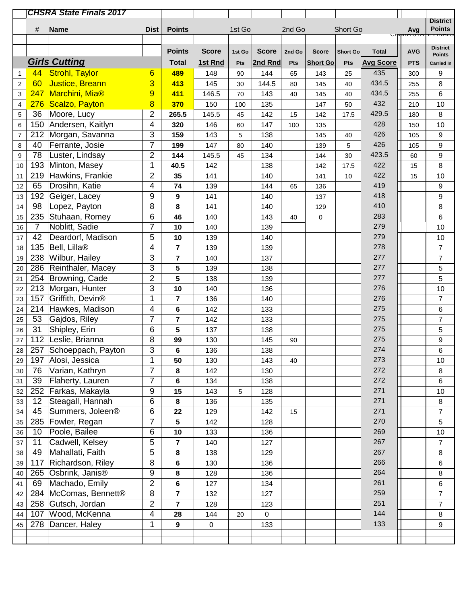|                         |                | <b>CHSRA State Finals 2017</b> |                |                |              |        |              |        |                 |                 |                  |                 |                                   |
|-------------------------|----------------|--------------------------------|----------------|----------------|--------------|--------|--------------|--------|-----------------|-----------------|------------------|-----------------|-----------------------------------|
|                         |                |                                |                |                |              |        |              |        |                 |                 |                  |                 | <b>District</b>                   |
|                         | #              | <b>Name</b>                    | <b>Dist</b>    | <b>Points</b>  |              | 1st Go |              | 2nd Go |                 | Short Go        |                  | Avg<br>เงกก จาก | <b>Points</b><br><b>E FIIVALO</b> |
|                         |                |                                |                |                |              |        |              |        |                 |                 |                  |                 | <b>District</b>                   |
|                         |                |                                |                | <b>Points</b>  | <b>Score</b> | 1st Go | <b>Score</b> | 2nd Go | <b>Score</b>    | <b>Short Go</b> | <b>Total</b>     | <b>AVG</b>      | <b>Points</b>                     |
|                         |                | <b>Girls Cutting</b>           |                | <b>Total</b>   | 1st Rnd      | Pts    | 2nd Rnd      | Pts    | <b>Short Go</b> | Pts             | <b>Avg Score</b> | <b>PTS</b>      | <b>Carried In</b>                 |
| 1                       | 44             | <b>Strohl, Taylor</b>          | 6              | 489            | 148          | 90     | 144          | 65     | 143             | 25              | 435              | 300             | 9                                 |
| $\sqrt{2}$              | 60             | <b>Justice, Breann</b>         | 3              | 413            | 145          | 30     | 144.5        | 80     | 145             | 40              | 434.5            | 255             | 8                                 |
| 3                       | 247            | Marchini, Mia®                 | 9              | 411            | 146.5        | 70     | 143          | 40     | 145             | 40              | 434.5            | 255             | $\,6$                             |
| $\overline{\mathbf{4}}$ |                | 276 Scalzo, Payton             | 8              | 370            | 150          | 100    | 135          |        | 147             | 50              | 432              | 210             | $10$                              |
| 5                       | 36             | Moore, Lucy                    | $\overline{2}$ | 265.5          | 145.5        | 45     | 142          | 15     | 142             | 17.5            | 429.5            | 180             | $\,8\,$                           |
| 6                       |                | 150 Andersen, Kaitlyn          | 4              | 320            | 146          | 60     | 147          | 100    | 135             |                 | 428              | 150             | 10                                |
| $\overline{7}$          |                | 212 Morgan, Savanna            | 3              | 159            | 143          | 5      | 138          |        | 145             | 40              | 426              | 105             | 9                                 |
| $\bf 8$                 | 40             | Ferrante, Josie                | $\overline{7}$ | 199            | 147          | 80     | 140          |        | 139             | 5               | 426              | 105             | $\boldsymbol{9}$                  |
| 9                       | 78             | Luster, Lindsay                | $\overline{2}$ | 144            | 145.5        | 45     | 134          |        | 144             | 30              | 423.5            | 60              | $\boldsymbol{9}$                  |
| 10                      | 193            | Minton, Masey                  | 1              | 40.5           | 142          |        | 138          |        | 142             | 17.5            | 422              | 15              | 8                                 |
| 11                      | 219            | Hawkins, Frankie               | $\overline{2}$ | 35             | 141          |        | 140          |        | 141             | 10              | 422              | 15              | $10$                              |
| 12                      | 65             | Drosihn, Katie                 | 4              | 74             | 139          |        | 144          | 65     | 136             |                 | 419              |                 | 9                                 |
| 13                      |                | 192 Geiger, Lacey              | 9              | 9              | 141          |        | 140          |        | 137             |                 | 418              |                 | $\boldsymbol{9}$                  |
| 14                      | 98             | Lopez, Payton                  | 8              | 8              | 141          |        | 140          |        | 129             |                 | 410              |                 | 8                                 |
| 15                      | 235            | Stuhaan, Romey                 | 6              | 46             | 140          |        | 143          | 40     | 0               |                 | 283              |                 | 6                                 |
| 16                      | $\overline{7}$ | Noblitt, Sadie                 | $\overline{7}$ | 10             | 140          |        | 139          |        |                 |                 | 279              |                 | 10                                |
| 17                      | 42             | Deardorf, Madison              | 5              | 10             | 139          |        | 140          |        |                 |                 | 279              |                 | $10$                              |
| 18                      | 135            | Bell, Lilla®                   | 4              | $\overline{7}$ | 139          |        | 139          |        |                 |                 | 278              |                 | $\overline{7}$                    |
| 19                      | 238            | Wilbur, Hailey                 | 3              | $\overline{7}$ | 140          |        | 137          |        |                 |                 | 277              |                 | $\overline{7}$                    |
| 20                      | 286            | Reinthaler, Macey              | 3              | 5              | 139          |        | 138          |        |                 |                 | 277              |                 | 5                                 |
| 21                      |                | 254 Browning, Cade             | $\overline{2}$ | 5              | 138          |        | 139          |        |                 |                 | 277              |                 | $\overline{5}$                    |
| 22                      |                | 213 Morgan, Hunter             | 3              | 10             | 140          |        | 136          |        |                 |                 | 276              |                 | 10                                |
| 23                      | 157            | Griffith, Devin <sup>®</sup>   | 1              | 7              | 136          |        | 140          |        |                 |                 | 276              |                 | $\overline{7}$                    |
| 24                      |                | 214 Hawkes, Madison            | 4              | 6              | 142          |        | 133          |        |                 |                 | 275              |                 | 6                                 |
| 25                      | 53             | Gajdos, Riley                  | $\overline{7}$ | 7              | 142          |        | 133          |        |                 |                 | 275              |                 | $\boldsymbol{7}$                  |
| 26                      | 31             | Shipley, Erin                  | 6              | 5              | 137          |        | 138          |        |                 |                 | 275              |                 | 5                                 |
| 27                      |                | 112 Leslie, Brianna            | 8              | 99             | 130          |        | 145          | 90     |                 |                 | 275              |                 | $\boldsymbol{9}$                  |
| 28                      |                | 257 Schoeppach, Payton         | $\overline{3}$ | 6              | 136          |        | 138          |        |                 |                 | 274              |                 | 6                                 |
| 29                      | 197            | Alosi, Jessica                 | 1              | 50             | 130          |        | 143          | 40     |                 |                 | 273              |                 | 10                                |
| 30                      | 76             | Varian, Kathryn                | $\overline{7}$ | 8              | 142          |        | 130          |        |                 |                 | 272              |                 | $\,8\,$                           |
| 31                      | 39             | Flaherty, Lauren               | $\overline{7}$ | 6              | 134          |        | 138          |        |                 |                 | 272              |                 | 6                                 |
| 32                      | 252            | Farkas, Makayla                | 9              | 15             | 143          | 5      | 128          |        |                 |                 | 271              |                 | 10                                |
| 33                      | 12             | Steagall, Hannah               | 6              | 8              | 136          |        | 135          |        |                 |                 | 271              |                 | $\bf 8$                           |
| 34                      | 45             | Summers, Joleen <sup>®</sup>   | 6              | 22             | 129          |        | 142          | 15     |                 |                 | 271              |                 | $\overline{7}$                    |
| 35                      | 285            | Fowler, Regan                  | $\overline{7}$ | 5              | 142          |        | 128          |        |                 |                 | 270              |                 | 5                                 |
| 36                      | 10             | Poole, Bailee                  | 6              | 10             | 133          |        | 136          |        |                 |                 | 269              |                 | $10$                              |
| 37                      | 11             | Cadwell, Kelsey                | 5              | 7              | 140          |        | 127          |        |                 |                 | 267              |                 | $\overline{7}$                    |
| 38                      | 49             | Mahallati, Faith               | 5              | 8              | 138          |        | 129          |        |                 |                 | 267              |                 | $\bf 8$                           |
| 39                      | 117            | Richardson, Riley              | 8              | 6              | 130          |        | 136          |        |                 |                 | 266              |                 | 6                                 |
| 40                      |                | 265 Osbrink, Janis®            | 9              | 8              | 128          |        | 136          |        |                 |                 | 264              |                 | 8                                 |
| 41                      | 69             | Machado, Emily                 | $\overline{2}$ | 6              | 127          |        | 134          |        |                 |                 | 261              |                 | 6                                 |
| 42                      |                | 284   McComas, Bennett®        | 8              | 7              | 132          |        | 127          |        |                 |                 | 259              |                 | $\boldsymbol{7}$                  |
| 43                      |                | 258 Gutsch, Jordan             | $\overline{2}$ | $\overline{7}$ | 128          |        | 123          |        |                 |                 | 251              |                 | $\overline{7}$                    |
| 44                      | 107            | Wood, McKenna                  | 4              | 28             | 144          | 20     | 0            |        |                 |                 | 144              |                 | $\,8\,$                           |
| 45                      | 278            | Dancer, Haley                  | $\mathbf 1$    | $\overline{9}$ | $\pmb{0}$    |        | 133          |        |                 |                 | 133              |                 | 9                                 |
|                         |                |                                |                |                |              |        |              |        |                 |                 |                  |                 |                                   |
|                         |                |                                |                |                |              |        |              |        |                 |                 |                  |                 |                                   |